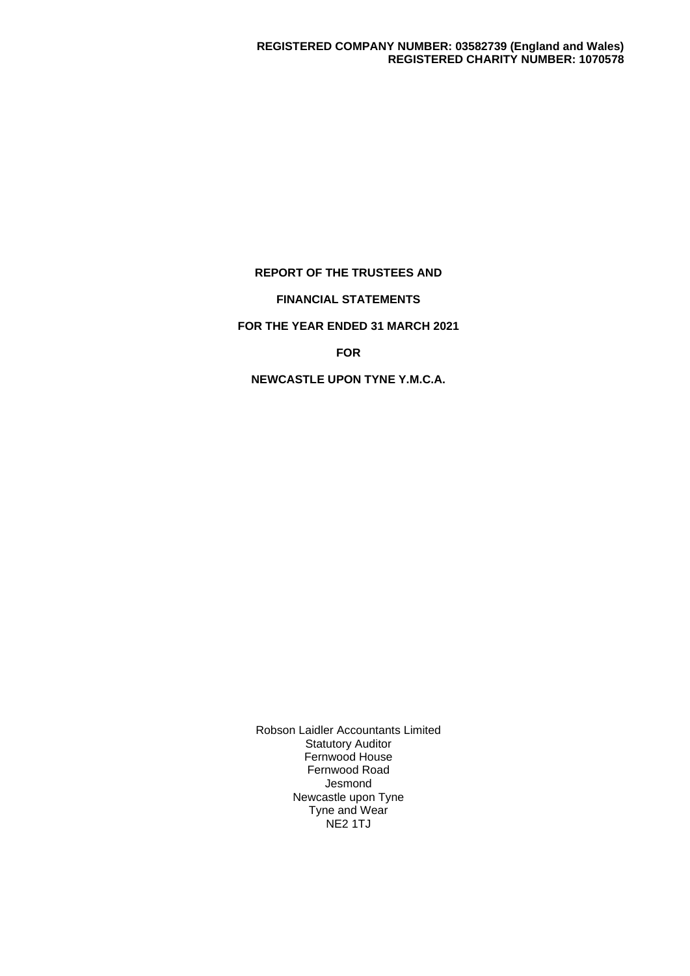## **REPORT OF THE TRUSTEES AND**

# **FINANCIAL STATEMENTS**

# **FOR THE YEAR ENDED 31 MARCH 2021**

## **FOR**

## **NEWCASTLE UPON TYNE Y.M.C.A.**

Robson Laidler Accountants Limited Statutory Auditor Fernwood House Fernwood Road Jesmond Newcastle upon Tyne Tyne and Wear NE2 1TJ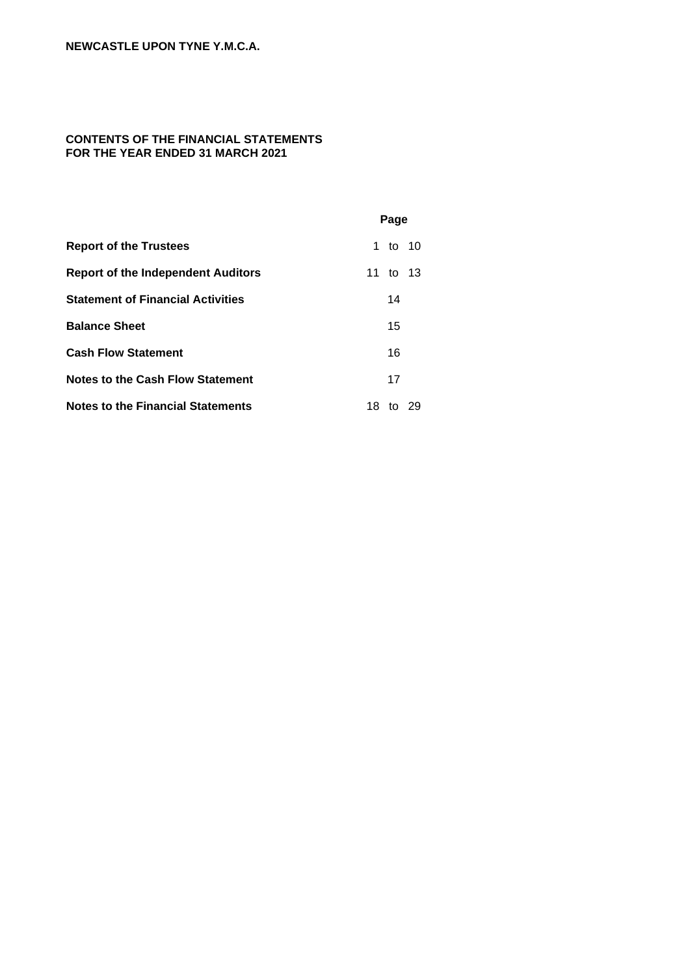# **CONTENTS OF THE FINANCIAL STATEMENTS FOR THE YEAR ENDED 31 MARCH 2021**

|                                           | Page |          |    |
|-------------------------------------------|------|----------|----|
| <b>Report of the Trustees</b>             |      | 1 to 10  |    |
| <b>Report of the Independent Auditors</b> |      | 11 to 13 |    |
| <b>Statement of Financial Activities</b>  |      | 14       |    |
| <b>Balance Sheet</b>                      |      | 15       |    |
| <b>Cash Flow Statement</b>                |      | 16       |    |
| Notes to the Cash Flow Statement          |      | 17       |    |
| <b>Notes to the Financial Statements</b>  | 18   | tΩ       | 29 |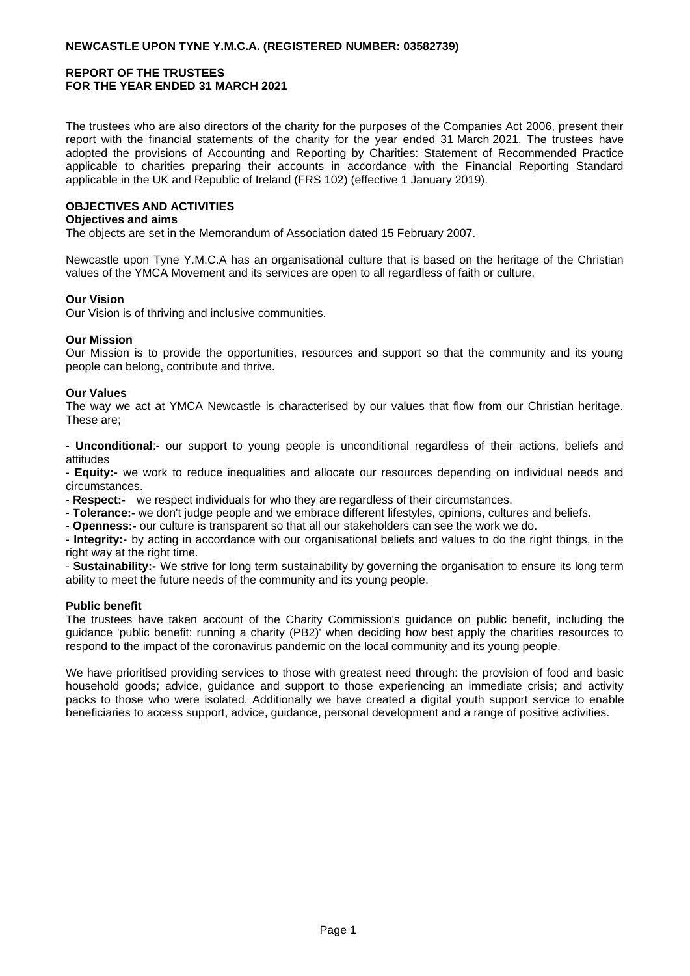The trustees who are also directors of the charity for the purposes of the Companies Act 2006, present their report with the financial statements of the charity for the year ended 31 March 2021. The trustees have adopted the provisions of Accounting and Reporting by Charities: Statement of Recommended Practice applicable to charities preparing their accounts in accordance with the Financial Reporting Standard applicable in the UK and Republic of Ireland (FRS 102) (effective 1 January 2019).

## **OBJECTIVES AND ACTIVITIES**

#### **Objectives and aims**

The objects are set in the Memorandum of Association dated 15 February 2007.

Newcastle upon Tyne Y.M.C.A has an organisational culture that is based on the heritage of the Christian values of the YMCA Movement and its services are open to all regardless of faith or culture.

#### **Our Vision**

Our Vision is of thriving and inclusive communities.

#### **Our Mission**

Our Mission is to provide the opportunities, resources and support so that the community and its young people can belong, contribute and thrive.

#### **Our Values**

The way we act at YMCA Newcastle is characterised by our values that flow from our Christian heritage. These are;

- **Unconditional**:- our support to young people is unconditional regardless of their actions, beliefs and attitudes

- **Equity:-** we work to reduce inequalities and allocate our resources depending on individual needs and circumstances.

- **Respect:-** we respect individuals for who they are regardless of their circumstances.

- **Tolerance:-** we don't judge people and we embrace different lifestyles, opinions, cultures and beliefs.

- **Openness:-** our culture is transparent so that all our stakeholders can see the work we do.

- **Integrity:-** by acting in accordance with our organisational beliefs and values to do the right things, in the right way at the right time.

- **Sustainability:-** We strive for long term sustainability by governing the organisation to ensure its long term ability to meet the future needs of the community and its young people.

#### **Public benefit**

The trustees have taken account of the Charity Commission's guidance on public benefit, including the guidance 'public benefit: running a charity (PB2)' when deciding how best apply the charities resources to respond to the impact of the coronavirus pandemic on the local community and its young people.

We have prioritised providing services to those with greatest need through: the provision of food and basic household goods; advice, guidance and support to those experiencing an immediate crisis; and activity packs to those who were isolated. Additionally we have created a digital youth support service to enable beneficiaries to access support, advice, guidance, personal development and a range of positive activities.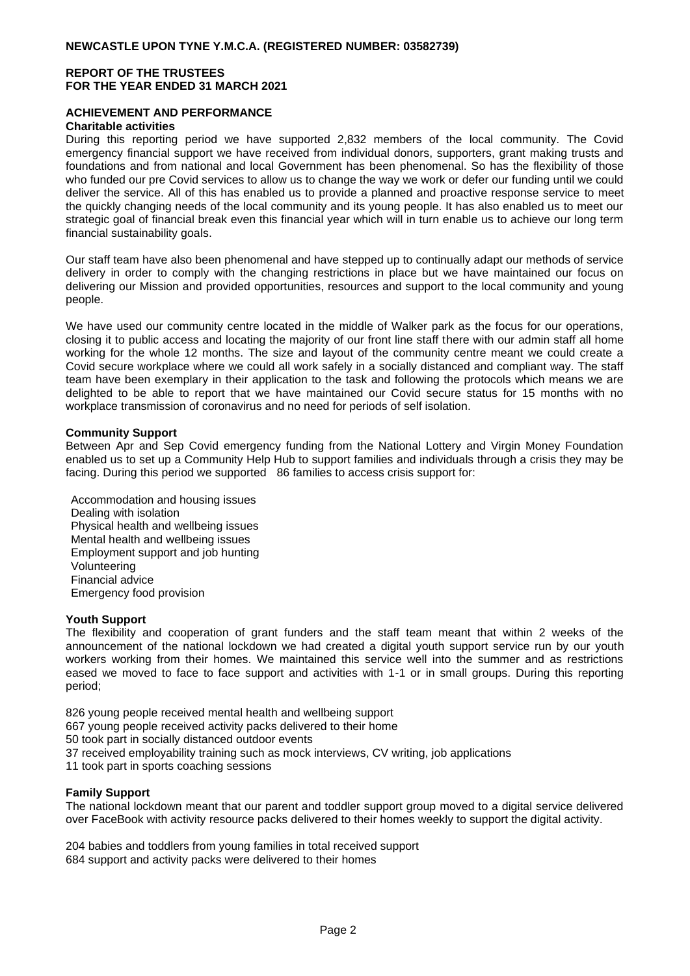## **ACHIEVEMENT AND PERFORMANCE**

#### **Charitable activities**

During this reporting period we have supported 2,832 members of the local community. The Covid emergency financial support we have received from individual donors, supporters, grant making trusts and foundations and from national and local Government has been phenomenal. So has the flexibility of those who funded our pre Covid services to allow us to change the way we work or defer our funding until we could deliver the service. All of this has enabled us to provide a planned and proactive response service to meet the quickly changing needs of the local community and its young people. It has also enabled us to meet our strategic goal of financial break even this financial year which will in turn enable us to achieve our long term financial sustainability goals.

Our staff team have also been phenomenal and have stepped up to continually adapt our methods of service delivery in order to comply with the changing restrictions in place but we have maintained our focus on delivering our Mission and provided opportunities, resources and support to the local community and young people.

We have used our community centre located in the middle of Walker park as the focus for our operations, closing it to public access and locating the majority of our front line staff there with our admin staff all home working for the whole 12 months. The size and layout of the community centre meant we could create a Covid secure workplace where we could all work safely in a socially distanced and compliant way. The staff team have been exemplary in their application to the task and following the protocols which means we are delighted to be able to report that we have maintained our Covid secure status for 15 months with no workplace transmission of coronavirus and no need for periods of self isolation.

#### **Community Support**

Between Apr and Sep Covid emergency funding from the National Lottery and Virgin Money Foundation enabled us to set up a Community Help Hub to support families and individuals through a crisis they may be facing. During this period we supported 86 families to access crisis support for:

Accommodation and housing issues Dealing with isolation Physical health and wellbeing issues Mental health and wellbeing issues Employment support and job hunting Volunteering Financial advice Emergency food provision

#### **Youth Support**

The flexibility and cooperation of grant funders and the staff team meant that within 2 weeks of the announcement of the national lockdown we had created a digital youth support service run by our youth workers working from their homes. We maintained this service well into the summer and as restrictions eased we moved to face to face support and activities with 1-1 or in small groups. During this reporting period;

826 young people received mental health and wellbeing support

667 young people received activity packs delivered to their home

50 took part in socially distanced outdoor events

37 received employability training such as mock interviews, CV writing, job applications

11 took part in sports coaching sessions

#### **Family Support**

The national lockdown meant that our parent and toddler support group moved to a digital service delivered over FaceBook with activity resource packs delivered to their homes weekly to support the digital activity.

204 babies and toddlers from young families in total received support 684 support and activity packs were delivered to their homes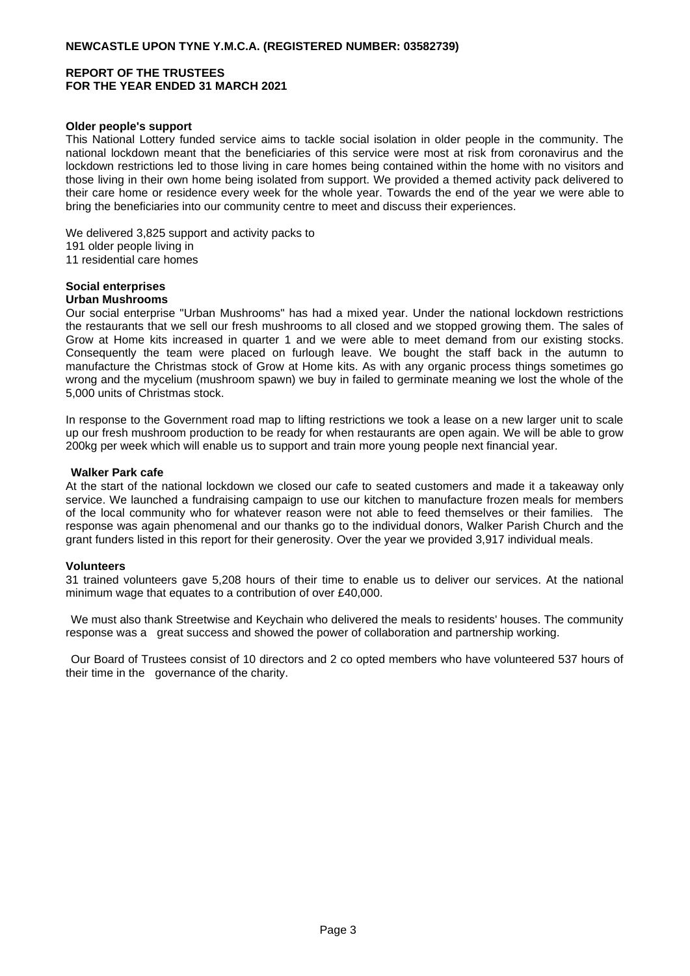## **NEWCASTLE UPON TYNE Y.M.C.A. (REGISTERED NUMBER: 03582739)**

## **REPORT OF THE TRUSTEES FOR THE YEAR ENDED 31 MARCH 2021**

#### **Older people's support**

This National Lottery funded service aims to tackle social isolation in older people in the community. The national lockdown meant that the beneficiaries of this service were most at risk from coronavirus and the lockdown restrictions led to those living in care homes being contained within the home with no visitors and those living in their own home being isolated from support. We provided a themed activity pack delivered to their care home or residence every week for the whole year. Towards the end of the year we were able to bring the beneficiaries into our community centre to meet and discuss their experiences.

We delivered 3,825 support and activity packs to 191 older people living in 11 residential care homes

#### **Social enterprises Urban Mushrooms**

#### Our social enterprise "Urban Mushrooms" has had a mixed year. Under the national lockdown restrictions the restaurants that we sell our fresh mushrooms to all closed and we stopped growing them. The sales of Grow at Home kits increased in quarter 1 and we were able to meet demand from our existing stocks. Consequently the team were placed on furlough leave. We bought the staff back in the autumn to manufacture the Christmas stock of Grow at Home kits. As with any organic process things sometimes go wrong and the mycelium (mushroom spawn) we buy in failed to germinate meaning we lost the whole of the 5,000 units of Christmas stock.

In response to the Government road map to lifting restrictions we took a lease on a new larger unit to scale up our fresh mushroom production to be ready for when restaurants are open again. We will be able to grow 200kg per week which will enable us to support and train more young people next financial year.

#### **Walker Park cafe**

At the start of the national lockdown we closed our cafe to seated customers and made it a takeaway only service. We launched a fundraising campaign to use our kitchen to manufacture frozen meals for members of the local community who for whatever reason were not able to feed themselves or their families. The response was again phenomenal and our thanks go to the individual donors, Walker Parish Church and the grant funders listed in this report for their generosity. Over the year we provided 3,917 individual meals.

#### **Volunteers**

31 trained volunteers gave 5,208 hours of their time to enable us to deliver our services. At the national minimum wage that equates to a contribution of over £40,000.

We must also thank Streetwise and Keychain who delivered the meals to residents' houses. The community response was a great success and showed the power of collaboration and partnership working.

Our Board of Trustees consist of 10 directors and 2 co opted members who have volunteered 537 hours of their time in the governance of the charity.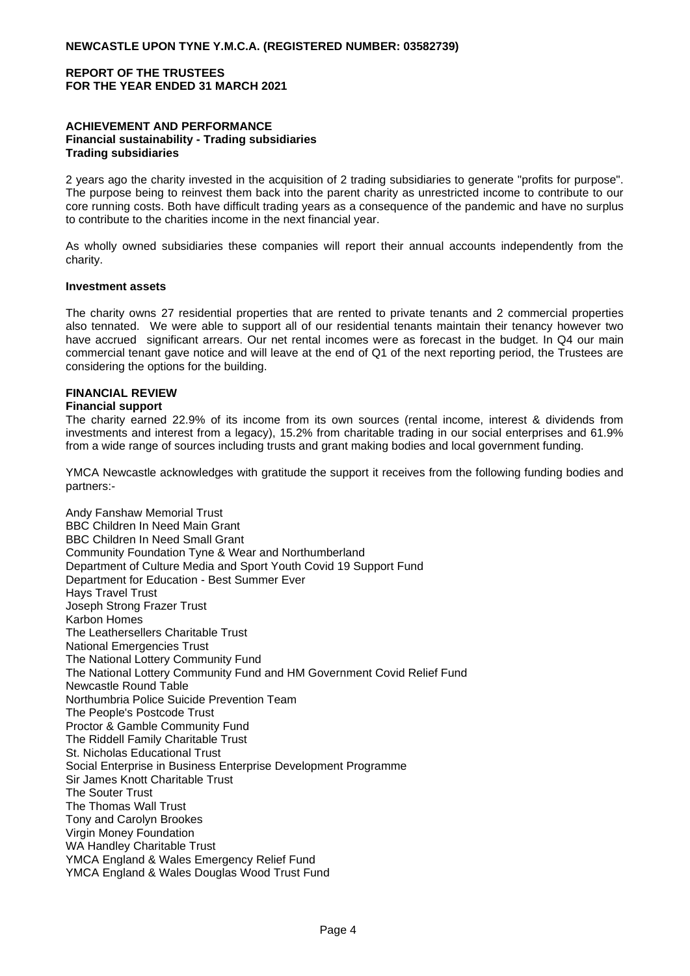## **ACHIEVEMENT AND PERFORMANCE Financial sustainability - Trading subsidiaries Trading subsidiaries**

2 years ago the charity invested in the acquisition of 2 trading subsidiaries to generate "profits for purpose". The purpose being to reinvest them back into the parent charity as unrestricted income to contribute to our core running costs. Both have difficult trading years as a consequence of the pandemic and have no surplus to contribute to the charities income in the next financial year.

As wholly owned subsidiaries these companies will report their annual accounts independently from the charity.

#### **Investment assets**

The charity owns 27 residential properties that are rented to private tenants and 2 commercial properties also tennated. We were able to support all of our residential tenants maintain their tenancy however two have accrued significant arrears. Our net rental incomes were as forecast in the budget. In Q4 our main commercial tenant gave notice and will leave at the end of Q1 of the next reporting period, the Trustees are considering the options for the building.

#### **FINANCIAL REVIEW**

#### **Financial support**

The charity earned 22.9% of its income from its own sources (rental income, interest & dividends from investments and interest from a legacy), 15.2% from charitable trading in our social enterprises and 61.9% from a wide range of sources including trusts and grant making bodies and local government funding.

YMCA Newcastle acknowledges with gratitude the support it receives from the following funding bodies and partners:-

Andy Fanshaw Memorial Trust BBC Children In Need Main Grant BBC Children In Need Small Grant Community Foundation Tyne & Wear and Northumberland Department of Culture Media and Sport Youth Covid 19 Support Fund Department for Education - Best Summer Ever Hays Travel Trust Joseph Strong Frazer Trust Karbon Homes The Leathersellers Charitable Trust National Emergencies Trust The National Lottery Community Fund The National Lottery Community Fund and HM Government Covid Relief Fund Newcastle Round Table Northumbria Police Suicide Prevention Team The People's Postcode Trust Proctor & Gamble Community Fund The Riddell Family Charitable Trust St. Nicholas Educational Trust Social Enterprise in Business Enterprise Development Programme Sir James Knott Charitable Trust The Souter Trust The Thomas Wall Trust Tony and Carolyn Brookes Virgin Money Foundation WA Handley Charitable Trust YMCA England & Wales Emergency Relief Fund YMCA England & Wales Douglas Wood Trust Fund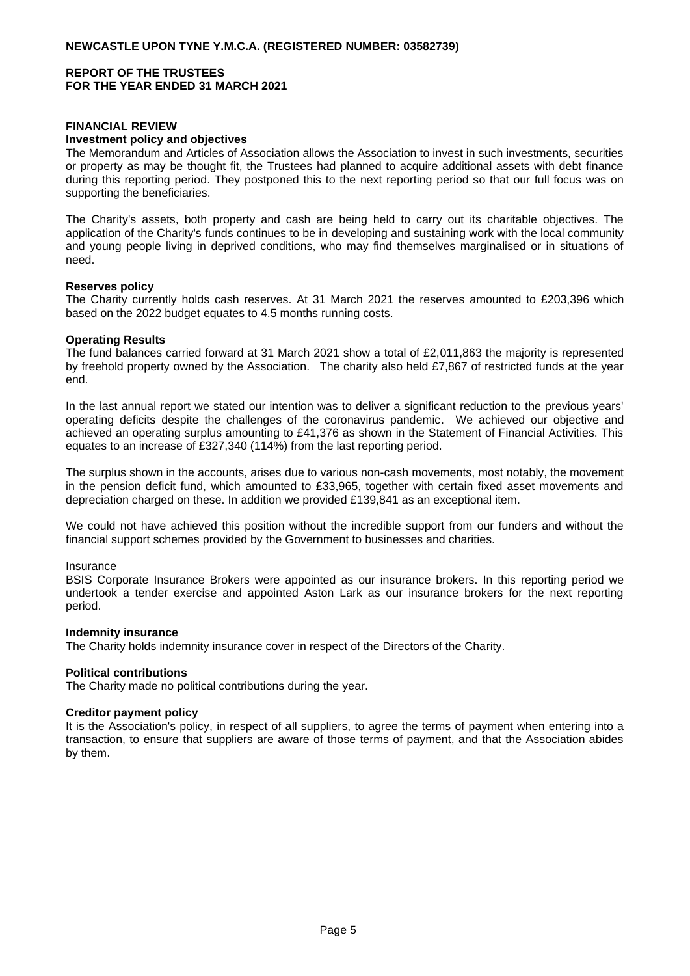# **FINANCIAL REVIEW**

#### **Investment policy and objectives**

The Memorandum and Articles of Association allows the Association to invest in such investments, securities or property as may be thought fit, the Trustees had planned to acquire additional assets with debt finance during this reporting period. They postponed this to the next reporting period so that our full focus was on supporting the beneficiaries.

The Charity's assets, both property and cash are being held to carry out its charitable objectives. The application of the Charity's funds continues to be in developing and sustaining work with the local community and young people living in deprived conditions, who may find themselves marginalised or in situations of need.

#### **Reserves policy**

The Charity currently holds cash reserves. At 31 March 2021 the reserves amounted to £203,396 which based on the 2022 budget equates to 4.5 months running costs.

#### **Operating Results**

The fund balances carried forward at 31 March 2021 show a total of £2,011,863 the majority is represented by freehold property owned by the Association. The charity also held £7,867 of restricted funds at the year end.

In the last annual report we stated our intention was to deliver a significant reduction to the previous years' operating deficits despite the challenges of the coronavirus pandemic. We achieved our objective and achieved an operating surplus amounting to £41,376 as shown in the Statement of Financial Activities. This equates to an increase of £327,340 (114%) from the last reporting period.

The surplus shown in the accounts, arises due to various non-cash movements, most notably, the movement in the pension deficit fund, which amounted to £33,965, together with certain fixed asset movements and depreciation charged on these. In addition we provided £139,841 as an exceptional item.

We could not have achieved this position without the incredible support from our funders and without the financial support schemes provided by the Government to businesses and charities.

#### Insurance

BSIS Corporate Insurance Brokers were appointed as our insurance brokers. In this reporting period we undertook a tender exercise and appointed Aston Lark as our insurance brokers for the next reporting period.

#### **Indemnity insurance**

The Charity holds indemnity insurance cover in respect of the Directors of the Charity.

#### **Political contributions**

The Charity made no political contributions during the year.

#### **Creditor payment policy**

It is the Association's policy, in respect of all suppliers, to agree the terms of payment when entering into a transaction, to ensure that suppliers are aware of those terms of payment, and that the Association abides by them.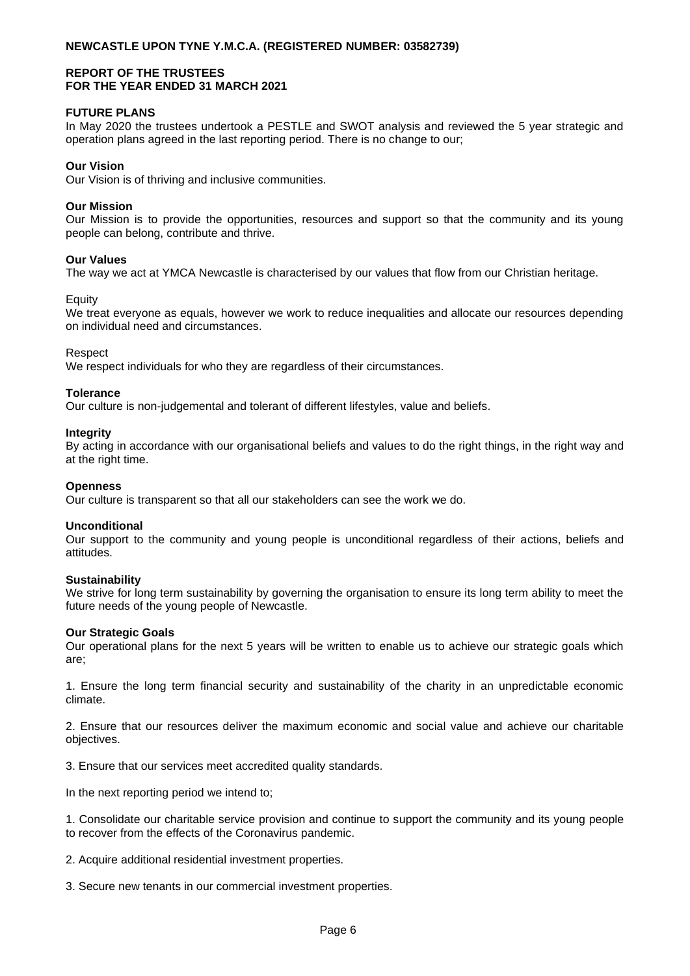## **NEWCASTLE UPON TYNE Y.M.C.A. (REGISTERED NUMBER: 03582739)**

## **REPORT OF THE TRUSTEES FOR THE YEAR ENDED 31 MARCH 2021**

#### **FUTURE PLANS**

In May 2020 the trustees undertook a PESTLE and SWOT analysis and reviewed the 5 year strategic and operation plans agreed in the last reporting period. There is no change to our;

#### **Our Vision**

Our Vision is of thriving and inclusive communities.

#### **Our Mission**

Our Mission is to provide the opportunities, resources and support so that the community and its young people can belong, contribute and thrive.

#### **Our Values**

The way we act at YMCA Newcastle is characterised by our values that flow from our Christian heritage.

#### **Equity**

We treat everyone as equals, however we work to reduce inequalities and allocate our resources depending on individual need and circumstances.

#### Respect

We respect individuals for who they are regardless of their circumstances.

#### **Tolerance**

Our culture is non-judgemental and tolerant of different lifestyles, value and beliefs.

#### **Integrity**

By acting in accordance with our organisational beliefs and values to do the right things, in the right way and at the right time.

#### **Openness**

Our culture is transparent so that all our stakeholders can see the work we do.

#### **Unconditional**

Our support to the community and young people is unconditional regardless of their actions, beliefs and attitudes.

#### **Sustainability**

We strive for long term sustainability by governing the organisation to ensure its long term ability to meet the future needs of the young people of Newcastle.

#### **Our Strategic Goals**

Our operational plans for the next 5 years will be written to enable us to achieve our strategic goals which are;

1. Ensure the long term financial security and sustainability of the charity in an unpredictable economic climate.

2. Ensure that our resources deliver the maximum economic and social value and achieve our charitable objectives.

3. Ensure that our services meet accredited quality standards.

In the next reporting period we intend to;

1. Consolidate our charitable service provision and continue to support the community and its young people to recover from the effects of the Coronavirus pandemic.

2. Acquire additional residential investment properties.

3. Secure new tenants in our commercial investment properties.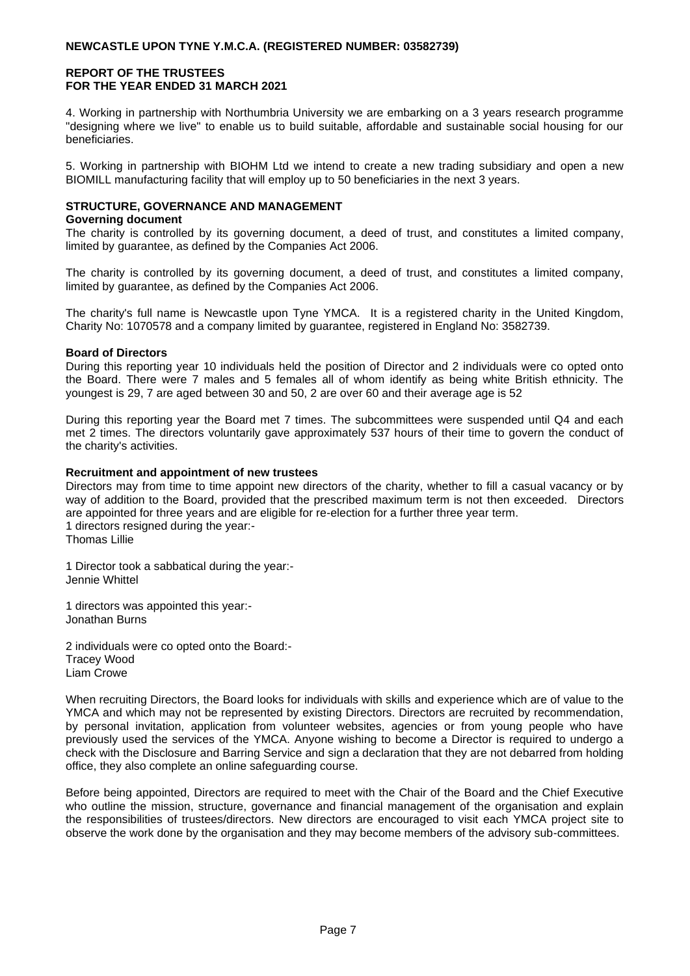## **NEWCASTLE UPON TYNE Y.M.C.A. (REGISTERED NUMBER: 03582739)**

## **REPORT OF THE TRUSTEES FOR THE YEAR ENDED 31 MARCH 2021**

4. Working in partnership with Northumbria University we are embarking on a 3 years research programme "designing where we live" to enable us to build suitable, affordable and sustainable social housing for our beneficiaries.

5. Working in partnership with BIOHM Ltd we intend to create a new trading subsidiary and open a new BIOMILL manufacturing facility that will employ up to 50 beneficiaries in the next 3 years.

# **STRUCTURE, GOVERNANCE AND MANAGEMENT**

#### **Governing document**

The charity is controlled by its governing document, a deed of trust, and constitutes a limited company, limited by guarantee, as defined by the Companies Act 2006.

The charity is controlled by its governing document, a deed of trust, and constitutes a limited company, limited by guarantee, as defined by the Companies Act 2006.

The charity's full name is Newcastle upon Tyne YMCA. It is a registered charity in the United Kingdom, Charity No: 1070578 and a company limited by guarantee, registered in England No: 3582739.

## **Board of Directors**

During this reporting year 10 individuals held the position of Director and 2 individuals were co opted onto the Board. There were 7 males and 5 females all of whom identify as being white British ethnicity. The youngest is 29, 7 are aged between 30 and 50, 2 are over 60 and their average age is 52

During this reporting year the Board met 7 times. The subcommittees were suspended until Q4 and each met 2 times. The directors voluntarily gave approximately 537 hours of their time to govern the conduct of the charity's activities.

## **Recruitment and appointment of new trustees**

Directors may from time to time appoint new directors of the charity, whether to fill a casual vacancy or by way of addition to the Board, provided that the prescribed maximum term is not then exceeded. Directors are appointed for three years and are eligible for re-election for a further three year term. 1 directors resigned during the year:- Thomas Lillie

1 Director took a sabbatical during the year:- Jennie Whittel

1 directors was appointed this year:- Jonathan Burns

2 individuals were co opted onto the Board:- Tracey Wood Liam Crowe

When recruiting Directors, the Board looks for individuals with skills and experience which are of value to the YMCA and which may not be represented by existing Directors. Directors are recruited by recommendation, by personal invitation, application from volunteer websites, agencies or from young people who have previously used the services of the YMCA. Anyone wishing to become a Director is required to undergo a check with the Disclosure and Barring Service and sign a declaration that they are not debarred from holding office, they also complete an online safeguarding course.

Before being appointed, Directors are required to meet with the Chair of the Board and the Chief Executive who outline the mission, structure, governance and financial management of the organisation and explain the responsibilities of trustees/directors. New directors are encouraged to visit each YMCA project site to observe the work done by the organisation and they may become members of the advisory sub-committees.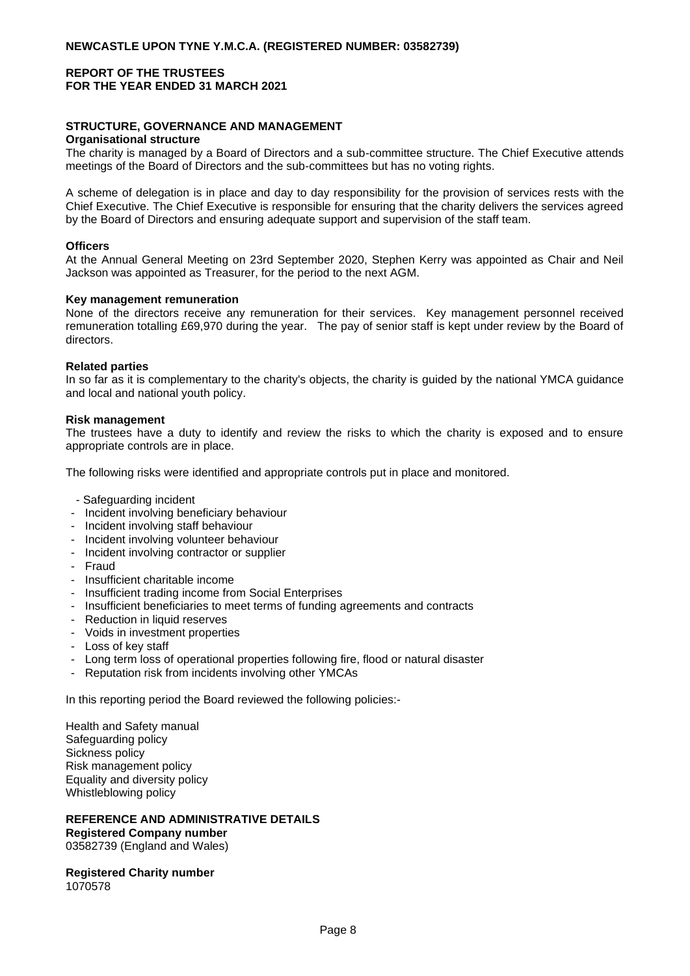#### **STRUCTURE, GOVERNANCE AND MANAGEMENT Organisational structure**

The charity is managed by a Board of Directors and a sub-committee structure. The Chief Executive attends meetings of the Board of Directors and the sub-committees but has no voting rights.

A scheme of delegation is in place and day to day responsibility for the provision of services rests with the Chief Executive. The Chief Executive is responsible for ensuring that the charity delivers the services agreed by the Board of Directors and ensuring adequate support and supervision of the staff team.

#### **Officers**

At the Annual General Meeting on 23rd September 2020, Stephen Kerry was appointed as Chair and Neil Jackson was appointed as Treasurer, for the period to the next AGM.

## **Key management remuneration**

None of the directors receive any remuneration for their services. Key management personnel received remuneration totalling £69,970 during the year. The pay of senior staff is kept under review by the Board of directors.

#### **Related parties**

In so far as it is complementary to the charity's objects, the charity is guided by the national YMCA guidance and local and national youth policy.

## **Risk management**

The trustees have a duty to identify and review the risks to which the charity is exposed and to ensure appropriate controls are in place.

The following risks were identified and appropriate controls put in place and monitored.

- Safeguarding incident
- Incident involving beneficiary behaviour
- Incident involving staff behaviour
- Incident involving volunteer behaviour
- Incident involving contractor or supplier
- Fraud
- Insufficient charitable income
- Insufficient trading income from Social Enterprises
- Insufficient beneficiaries to meet terms of funding agreements and contracts
- Reduction in liquid reserves
- Voids in investment properties
- Loss of key staff
- Long term loss of operational properties following fire, flood or natural disaster
- Reputation risk from incidents involving other YMCAs

In this reporting period the Board reviewed the following policies:-

Health and Safety manual Safeguarding policy Sickness policy Risk management policy Equality and diversity policy Whistleblowing policy

#### **REFERENCE AND ADMINISTRATIVE DETAILS Registered Company number** 03582739 (England and Wales)

**Registered Charity number** 1070578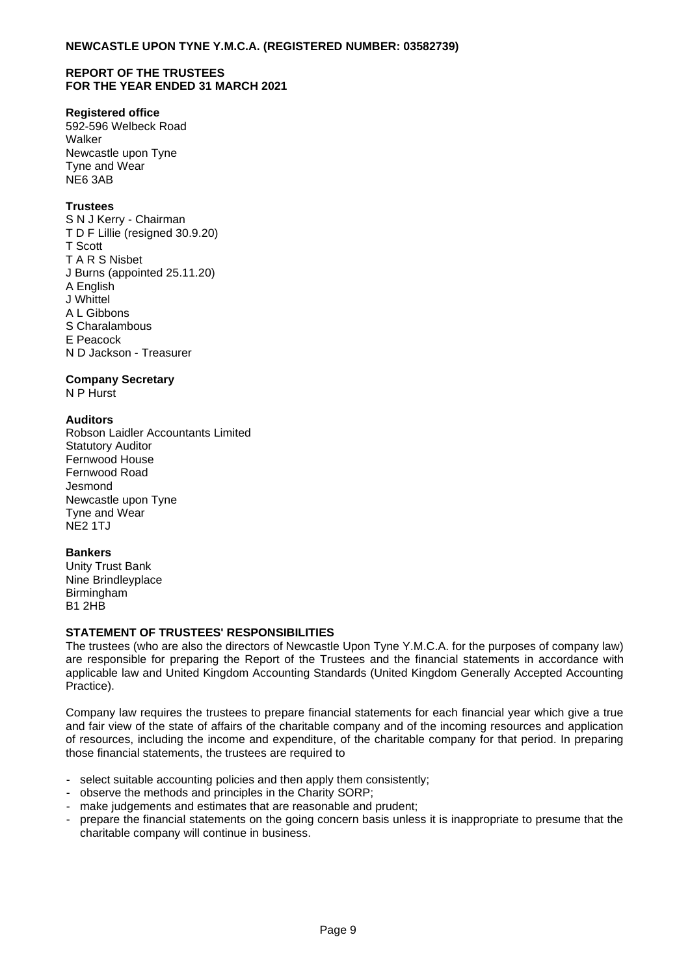## **Registered office**

592-596 Welbeck Road Walker Newcastle upon Tyne Tyne and Wear NE6 3AB

# **Trustees**

S N J Kerry - Chairman T D F Lillie (resigned 30.9.20) T Scott T A R S Nisbet J Burns (appointed 25.11.20) A English J Whittel A L Gibbons S Charalambous E Peacock N D Jackson - Treasurer

## **Company Secretary**

N P Hurst

## **Auditors**

Robson Laidler Accountants Limited Statutory Auditor Fernwood House Fernwood Road Jesmond Newcastle upon Tyne Tyne and Wear  $NF2$  1TJ

## **Bankers**

Unity Trust Bank Nine Brindleyplace Birmingham B1 2HB

## **STATEMENT OF TRUSTEES' RESPONSIBILITIES**

The trustees (who are also the directors of Newcastle Upon Tyne Y.M.C.A. for the purposes of company law) are responsible for preparing the Report of the Trustees and the financial statements in accordance with applicable law and United Kingdom Accounting Standards (United Kingdom Generally Accepted Accounting Practice).

Company law requires the trustees to prepare financial statements for each financial year which give a true and fair view of the state of affairs of the charitable company and of the incoming resources and application of resources, including the income and expenditure, of the charitable company for that period. In preparing those financial statements, the trustees are required to

- select suitable accounting policies and then apply them consistently;
- observe the methods and principles in the Charity SORP;
- make judgements and estimates that are reasonable and prudent;
- prepare the financial statements on the going concern basis unless it is inappropriate to presume that the charitable company will continue in business.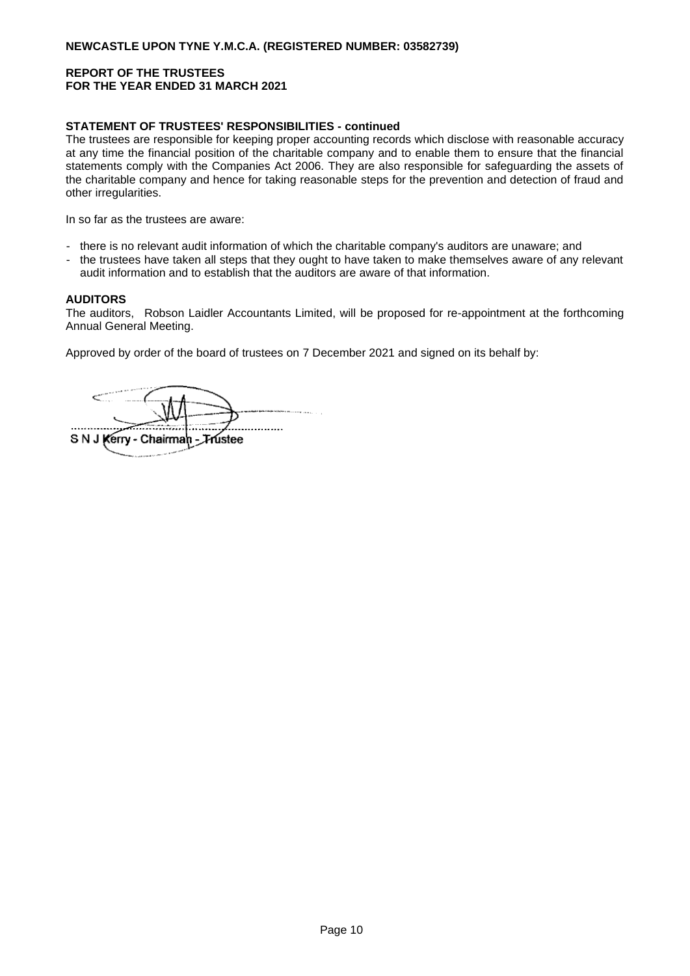## **STATEMENT OF TRUSTEES' RESPONSIBILITIES - continued**

The trustees are responsible for keeping proper accounting records which disclose with reasonable accuracy at any time the financial position of the charitable company and to enable them to ensure that the financial statements comply with the Companies Act 2006. They are also responsible for safeguarding the assets of the charitable company and hence for taking reasonable steps for the prevention and detection of fraud and other irregularities.

In so far as the trustees are aware:

- there is no relevant audit information of which the charitable company's auditors are unaware; and
- the trustees have taken all steps that they ought to have taken to make themselves aware of any relevant audit information and to establish that the auditors are aware of that information.

#### **AUDITORS**

The auditors, Robson Laidler Accountants Limited, will be proposed for re-appointment at the forthcoming Annual General Meeting.

Approved by order of the board of trustees on 7 December 2021 and signed on its behalf by:

. . . . . . . . . . . . . . . . S N J Kerry - Chairman - Trustee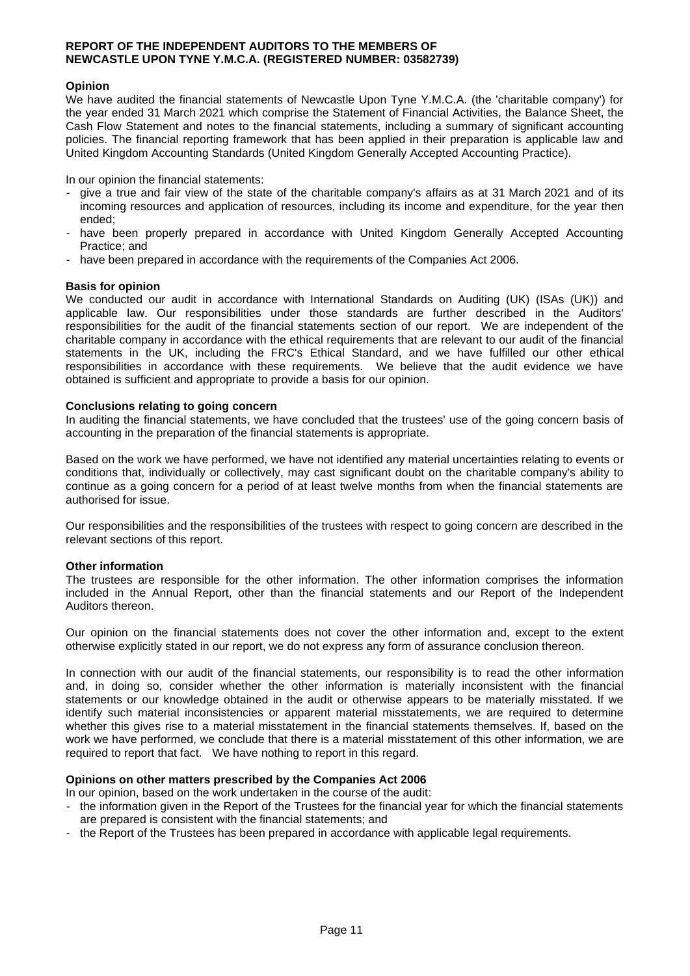#### **REPORT OF THE INDEPENDENT AUDITORS TO THE MEMBERS OF NEWCASTLE UPON TYNE Y.M.C.A. (REGISTERED NUMBER: 03582739)**

#### **Opinion**

We have audited the financial statements of Newcastle Upon Tyne Y.M.C.A. (the 'charitable company') for the year ended 31 March 2021 which comprise the Statement of Financial Activities, the Balance Sheet, the Cash Flow Statement and notes to the financial statements, including a summary of significant accounting policies. The financial reporting framework that has been applied in their preparation is applicable law and United Kingdom Accounting Standards (United Kingdom Generally Accepted Accounting Practice).

In our opinion the financial statements:

- give a true and fair view of the state of the charitable company's affairs as at 31 March 2021 and of its incoming resources and application of resources, including its income and expenditure, for the year then ended;
- have been properly prepared in accordance with United Kingdom Generally Accepted Accounting Practice; and
- have been prepared in accordance with the requirements of the Companies Act 2006.

## **Basis for opinion**

We conducted our audit in accordance with International Standards on Auditing (UK) (ISAs (UK)) and applicable law. Our responsibilities under those standards are further described in the Auditors' responsibilities for the audit of the financial statements section of our report. We are independent of the charitable company in accordance with the ethical requirements that are relevant to our audit of the financial statements in the UK, including the FRC's Ethical Standard, and we have fulfilled our other ethical responsibilities in accordance with these requirements. We believe that the audit evidence we have obtained is sufficient and appropriate to provide a basis for our opinion.

#### **Conclusions relating to going concern**

In auditing the financial statements, we have concluded that the trustees' use of the going concern basis of accounting in the preparation of the financial statements is appropriate.

Based on the work we have performed, we have not identified any material uncertainties relating to events or conditions that, individually or collectively, may cast significant doubt on the charitable company's ability to continue as a going concern for a period of at least twelve months from when the financial statements are authorised for issue.

Our responsibilities and the responsibilities of the trustees with respect to going concern are described in the relevant sections of this report.

#### **Other information**

The trustees are responsible for the other information. The other information comprises the information included in the Annual Report, other than the financial statements and our Report of the Independent Auditors thereon.

Our opinion on the financial statements does not cover the other information and, except to the extent otherwise explicitly stated in our report, we do not express any form of assurance conclusion thereon.

In connection with our audit of the financial statements, our responsibility is to read the other information and, in doing so, consider whether the other information is materially inconsistent with the financial statements or our knowledge obtained in the audit or otherwise appears to be materially misstated. If we identify such material inconsistencies or apparent material misstatements, we are required to determine whether this gives rise to a material misstatement in the financial statements themselves. If, based on the work we have performed, we conclude that there is a material misstatement of this other information, we are required to report that fact. We have nothing to report in this regard.

#### **Opinions on other matters prescribed by the Companies Act 2006**

In our opinion, based on the work undertaken in the course of the audit:

- the information given in the Report of the Trustees for the financial year for which the financial statements are prepared is consistent with the financial statements; and
- the Report of the Trustees has been prepared in accordance with applicable legal requirements.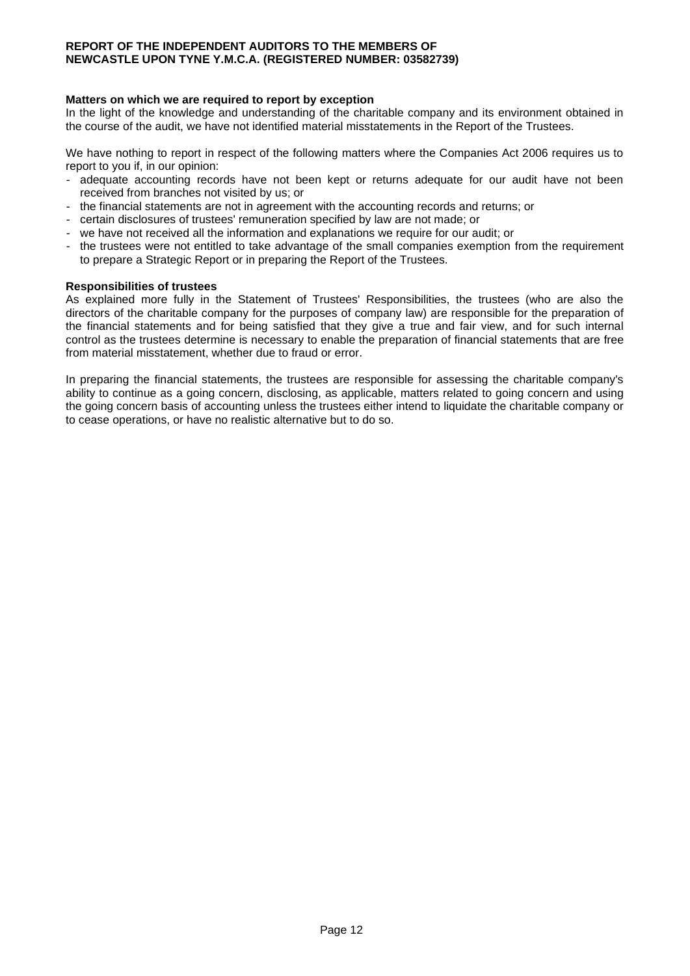#### **REPORT OF THE INDEPENDENT AUDITORS TO THE MEMBERS OF NEWCASTLE UPON TYNE Y.M.C.A. (REGISTERED NUMBER: 03582739)**

## **Matters on which we are required to report by exception**

In the light of the knowledge and understanding of the charitable company and its environment obtained in the course of the audit, we have not identified material misstatements in the Report of the Trustees.

We have nothing to report in respect of the following matters where the Companies Act 2006 requires us to report to you if, in our opinion:

- adequate accounting records have not been kept or returns adequate for our audit have not been received from branches not visited by us; or
- the financial statements are not in agreement with the accounting records and returns; or
- certain disclosures of trustees' remuneration specified by law are not made; or
- we have not received all the information and explanations we require for our audit; or
- the trustees were not entitled to take advantage of the small companies exemption from the requirement to prepare a Strategic Report or in preparing the Report of the Trustees.

#### **Responsibilities of trustees**

As explained more fully in the Statement of Trustees' Responsibilities, the trustees (who are also the directors of the charitable company for the purposes of company law) are responsible for the preparation of the financial statements and for being satisfied that they give a true and fair view, and for such internal control as the trustees determine is necessary to enable the preparation of financial statements that are free from material misstatement, whether due to fraud or error.

In preparing the financial statements, the trustees are responsible for assessing the charitable company's ability to continue as a going concern, disclosing, as applicable, matters related to going concern and using the going concern basis of accounting unless the trustees either intend to liquidate the charitable company or to cease operations, or have no realistic alternative but to do so.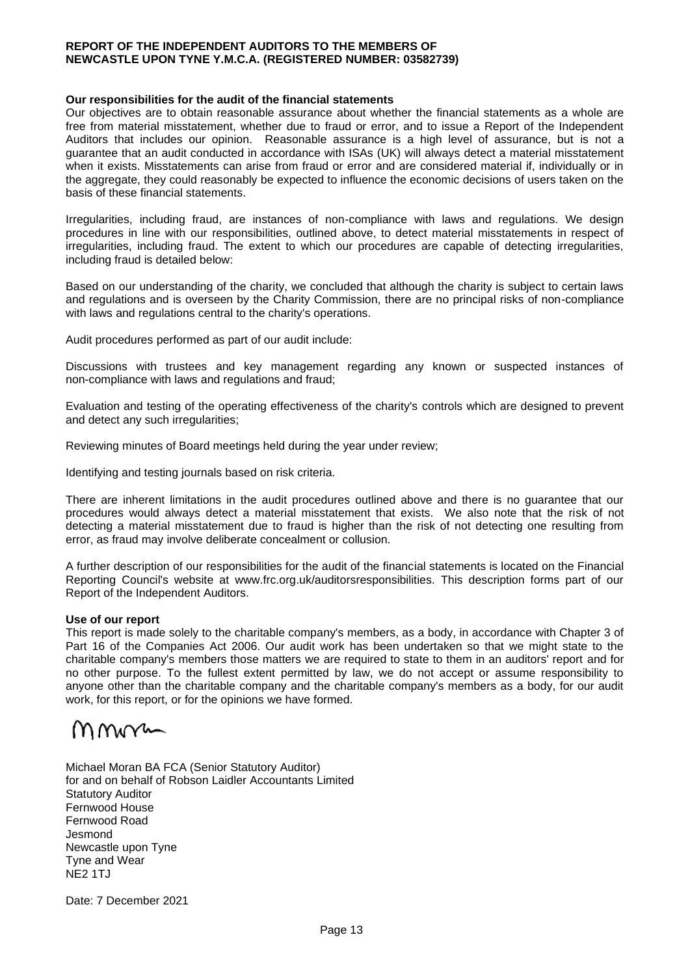#### **REPORT OF THE INDEPENDENT AUDITORS TO THE MEMBERS OF NEWCASTLE UPON TYNE Y.M.C.A. (REGISTERED NUMBER: 03582739)**

#### **Our responsibilities for the audit of the financial statements**

Our objectives are to obtain reasonable assurance about whether the financial statements as a whole are free from material misstatement, whether due to fraud or error, and to issue a Report of the Independent Auditors that includes our opinion. Reasonable assurance is a high level of assurance, but is not a guarantee that an audit conducted in accordance with ISAs (UK) will always detect a material misstatement when it exists. Misstatements can arise from fraud or error and are considered material if, individually or in the aggregate, they could reasonably be expected to influence the economic decisions of users taken on the basis of these financial statements.

Irregularities, including fraud, are instances of non-compliance with laws and regulations. We design procedures in line with our responsibilities, outlined above, to detect material misstatements in respect of irregularities, including fraud. The extent to which our procedures are capable of detecting irregularities, including fraud is detailed below:

Based on our understanding of the charity, we concluded that although the charity is subject to certain laws and regulations and is overseen by the Charity Commission, there are no principal risks of non-compliance with laws and regulations central to the charity's operations.

Audit procedures performed as part of our audit include:

Discussions with trustees and key management regarding any known or suspected instances of non-compliance with laws and regulations and fraud;

Evaluation and testing of the operating effectiveness of the charity's controls which are designed to prevent and detect any such irregularities;

Reviewing minutes of Board meetings held during the year under review;

Identifying and testing journals based on risk criteria.

There are inherent limitations in the audit procedures outlined above and there is no guarantee that our procedures would always detect a material misstatement that exists. We also note that the risk of not detecting a material misstatement due to fraud is higher than the risk of not detecting one resulting from error, as fraud may involve deliberate concealment or collusion.

A further description of our responsibilities for the audit of the financial statements is located on the Financial Reporting Council's website at www.frc.org.uk/auditorsresponsibilities. This description forms part of our Report of the Independent Auditors.

## **Use of our report**

This report is made solely to the charitable company's members, as a body, in accordance with Chapter 3 of Part 16 of the Companies Act 2006. Our audit work has been undertaken so that we might state to the charitable company's members those matters we are required to state to them in an auditors' report and for no other purpose. To the fullest extent permitted by law, we do not accept or assume responsibility to anyone other than the charitable company and the charitable company's members as a body, for our audit work, for this report, or for the opinions we have formed.

# mmn

Michael Moran BA FCA (Senior Statutory Auditor) for and on behalf of Robson Laidler Accountants Limited Statutory Auditor Fernwood House Fernwood Road Jesmond Newcastle upon Tyne Tyne and Wear NE2 1TJ

Date: 7 December 2021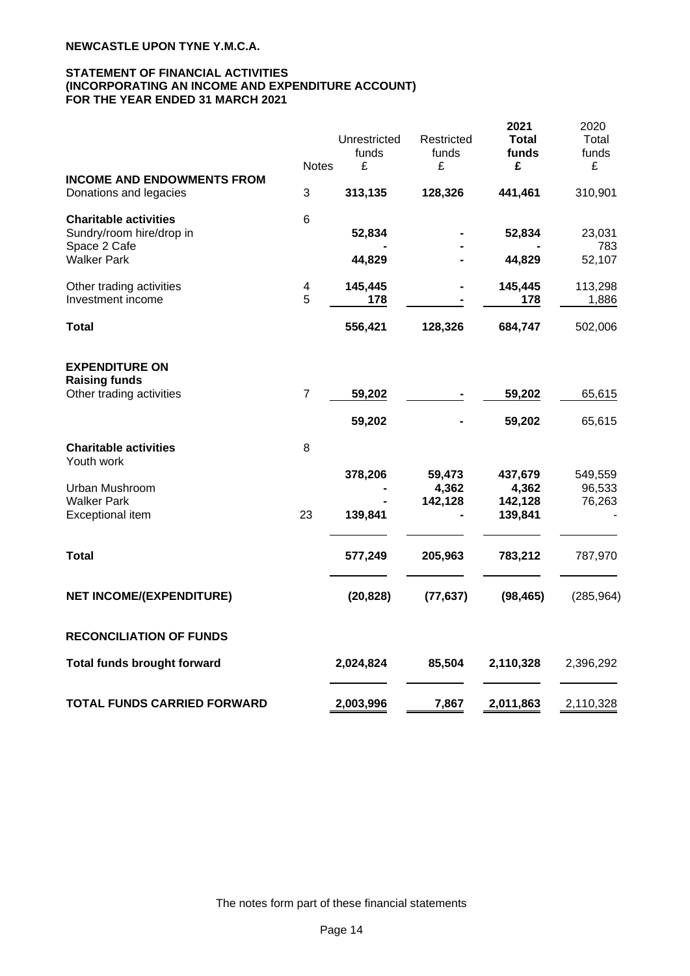#### **STATEMENT OF FINANCIAL ACTIVITIES (INCORPORATING AN INCOME AND EXPENDITURE ACCOUNT) FOR THE YEAR ENDED 31 MARCH 2021**

|                                                             | <b>Notes</b> | Unrestricted<br>funds<br>£ | Restricted<br>funds<br>£ | 2021<br><b>Total</b><br>funds<br>£ | 2020<br>Total<br>funds<br>£ |
|-------------------------------------------------------------|--------------|----------------------------|--------------------------|------------------------------------|-----------------------------|
| <b>INCOME AND ENDOWMENTS FROM</b><br>Donations and legacies | 3            | 313,135                    | 128,326                  | 441,461                            | 310,901                     |
| <b>Charitable activities</b><br>Sundry/room hire/drop in    | 6            | 52,834                     |                          | 52,834                             | 23,031                      |
| Space 2 Cafe<br><b>Walker Park</b>                          |              | 44,829                     |                          | 44,829                             | 783<br>52,107               |
| Other trading activities<br>Investment income               | 4<br>5       | 145,445<br>178             |                          | 145,445<br>178                     | 113,298<br>1,886            |
| <b>Total</b>                                                |              | 556,421                    | 128,326                  | 684,747                            | 502,006                     |
| <b>EXPENDITURE ON</b><br><b>Raising funds</b>               |              |                            |                          |                                    |                             |
| Other trading activities                                    | 7            | 59,202                     |                          | 59,202                             | 65,615                      |
|                                                             |              | 59,202                     |                          | 59,202                             | 65,615                      |
| <b>Charitable activities</b><br>Youth work                  | 8            |                            |                          |                                    |                             |
| Urban Mushroom                                              |              | 378,206                    | 59,473<br>4,362          | 437,679<br>4,362                   | 549,559<br>96,533           |
| <b>Walker Park</b><br>Exceptional item                      | 23           | 139,841                    | 142,128                  | 142,128<br>139,841                 | 76,263                      |
| <b>Total</b>                                                |              | 577,249                    | 205,963                  | 783,212                            | 787,970                     |
| <b>NET INCOME/(EXPENDITURE)</b>                             |              | (20, 828)                  | (77, 637)                | (98, 465)                          | (285, 964)                  |
| <b>RECONCILIATION OF FUNDS</b>                              |              |                            |                          |                                    |                             |
| <b>Total funds brought forward</b>                          |              | 2,024,824                  | 85,504                   | 2,110,328                          | 2,396,292                   |
| <b>TOTAL FUNDS CARRIED FORWARD</b>                          |              | 2,003,996                  | 7,867                    | 2,011,863                          | 2,110,328                   |

The notes form part of these financial statements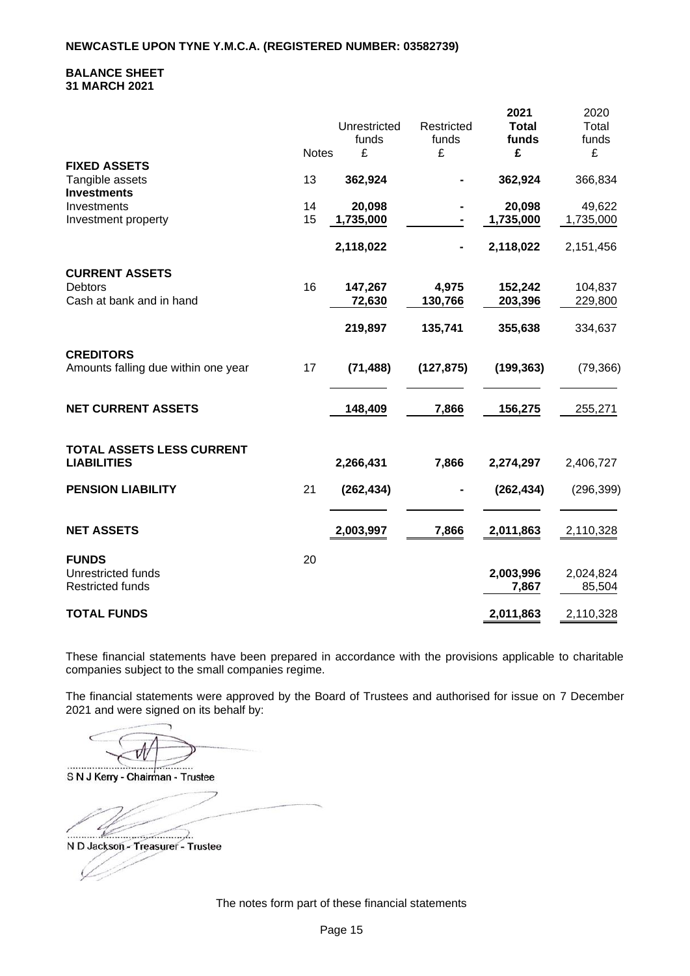#### **BALANCE SHEET 31 MARCH 2021**

|                                           |              | Unrestricted<br>funds | Restricted<br>funds | 2021<br><b>Total</b><br>funds | 2020<br>Total<br>funds |
|-------------------------------------------|--------------|-----------------------|---------------------|-------------------------------|------------------------|
| <b>FIXED ASSETS</b>                       | <b>Notes</b> | £                     | £                   | £                             | £                      |
| Tangible assets<br><b>Investments</b>     | 13           | 362,924               |                     | 362,924                       | 366,834                |
| Investments                               | 14           | 20,098                |                     | 20,098                        | 49,622                 |
| Investment property                       | 15           | 1,735,000             |                     | 1,735,000                     | 1,735,000              |
|                                           |              | 2,118,022             |                     | 2,118,022                     | 2,151,456              |
| <b>CURRENT ASSETS</b>                     |              |                       |                     |                               |                        |
| <b>Debtors</b>                            | 16           | 147,267               | 4,975               | 152,242                       | 104,837                |
| Cash at bank and in hand                  |              | 72,630                | 130,766             | 203,396                       | 229,800                |
|                                           |              | 219,897               | 135,741             | 355,638                       | 334,637                |
| <b>CREDITORS</b>                          |              |                       |                     |                               |                        |
| Amounts falling due within one year       | 17           | (71, 488)             | (127, 875)          | (199, 363)                    | (79, 366)              |
| <b>NET CURRENT ASSETS</b>                 |              | 148,409               | 7,866               | 156,275                       | 255,271                |
| TOTAL ASSETS LESS CURRENT                 |              |                       |                     |                               |                        |
| <b>LIABILITIES</b>                        |              | 2,266,431             | 7,866               | 2,274,297                     | 2,406,727              |
| <b>PENSION LIABILITY</b>                  | 21           | (262, 434)            | $\blacksquare$      | (262, 434)                    | (296, 399)             |
| <b>NET ASSETS</b>                         |              | 2,003,997             | 7,866               | 2,011,863                     | 2,110,328              |
|                                           |              |                       |                     |                               |                        |
| <b>FUNDS</b><br><b>Unrestricted funds</b> | 20           |                       |                     | 2,003,996                     | 2,024,824              |
| <b>Restricted funds</b>                   |              |                       |                     | 7,867                         | 85,504                 |
|                                           |              |                       |                     |                               |                        |
| <b>TOTAL FUNDS</b>                        |              |                       |                     | 2,011,863                     | 2,110,328              |

These financial statements have been prepared in accordance with the provisions applicable to charitable companies subject to the small companies regime.

The financial statements were approved by the Board of Trustees and authorised for issue on 7 December 2021 and were signed on its behalf by:

a. .... S N J Kerry - Chairman - Trustee

 $\epsilon$  $\ldots$ 

N D Jackson - Treasurer - Trustee

The notes form part of these financial statements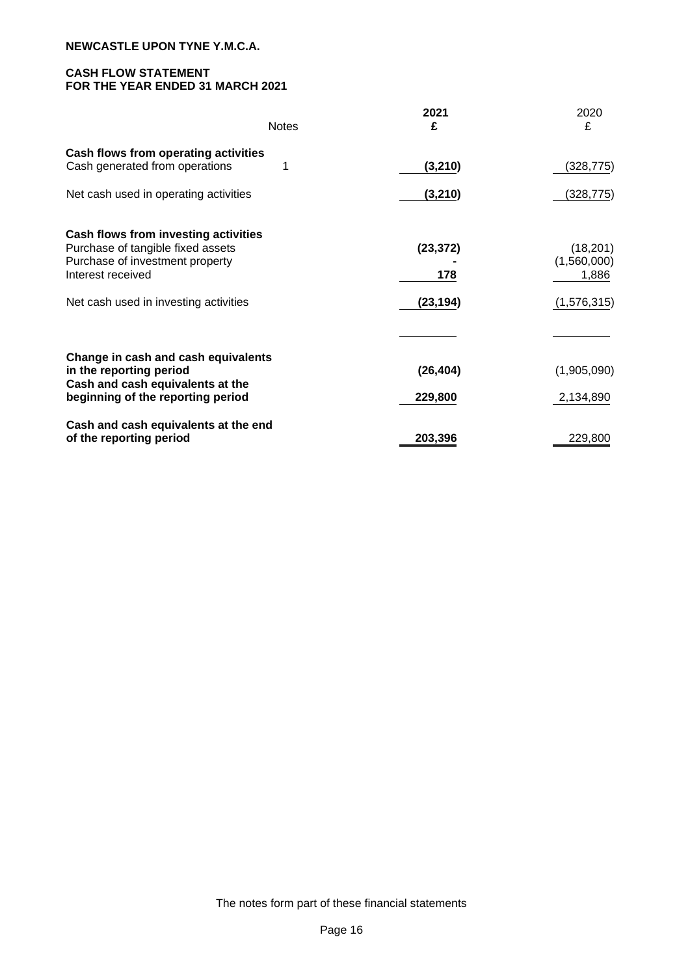# **CASH FLOW STATEMENT FOR THE YEAR ENDED 31 MARCH 2021**

| <b>Notes</b>                                                                                                                                                               | 2021<br>£                     | 2020<br>£                                        |
|----------------------------------------------------------------------------------------------------------------------------------------------------------------------------|-------------------------------|--------------------------------------------------|
| Cash flows from operating activities<br>Cash generated from operations                                                                                                     | (3, 210)                      | (328, 775)                                       |
| Net cash used in operating activities                                                                                                                                      | (3, 210)                      | (328,775)                                        |
| Cash flows from investing activities<br>Purchase of tangible fixed assets<br>Purchase of investment property<br>Interest received<br>Net cash used in investing activities | (23, 372)<br>178<br>(23, 194) | (18, 201)<br>(1,560,000)<br>1,886<br>(1,576,315) |
| Change in cash and cash equivalents<br>in the reporting period<br>Cash and cash equivalents at the<br>beginning of the reporting period                                    | (26, 404)<br>229,800          | (1,905,090)<br>2,134,890                         |
| Cash and cash equivalents at the end<br>of the reporting period                                                                                                            | 203,396                       | 229,800                                          |

The notes form part of these financial statements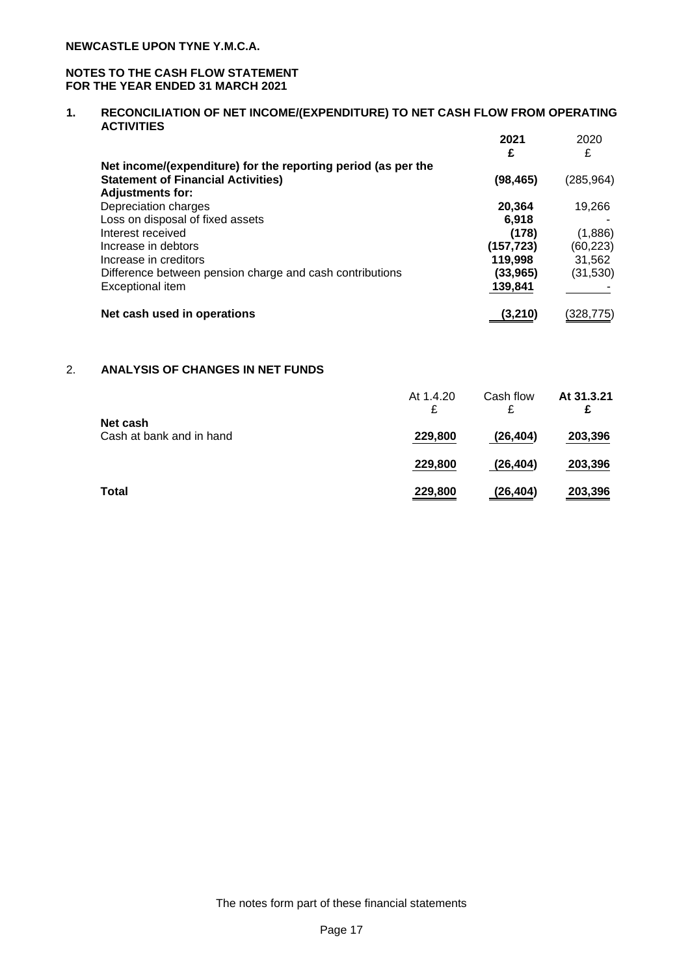## **NOTES TO THE CASH FLOW STATEMENT FOR THE YEAR ENDED 31 MARCH 2021**

#### **1. RECONCILIATION OF NET INCOME/(EXPENDITURE) TO NET CASH FLOW FROM OPERATING ACTIVITIES 2021** 2020

|                                                               | 2021<br>£  | 2020<br>£  |
|---------------------------------------------------------------|------------|------------|
| Net income/(expenditure) for the reporting period (as per the |            |            |
| <b>Statement of Financial Activities)</b>                     | (98, 465)  | (285, 964) |
| <b>Adjustments for:</b>                                       |            |            |
| Depreciation charges                                          | 20,364     | 19,266     |
| Loss on disposal of fixed assets                              | 6.918      |            |
| Interest received                                             | (178)      | (1,886)    |
| Increase in debtors                                           | (157, 723) | (60,223)   |
| Increase in creditors                                         | 119,998    | 31,562     |
| Difference between pension charge and cash contributions      | (33, 965)  | (31,530)   |
| Exceptional item                                              | 139,841    |            |
| Net cash used in operations                                   | (3,210)    | (328,775)  |

# 2. **ANALYSIS OF CHANGES IN NET FUNDS**

|                                      | At 1.4.20<br>£ | Cash flow<br>£ | At 31.3.21<br>£ |
|--------------------------------------|----------------|----------------|-----------------|
| Net cash<br>Cash at bank and in hand | 229,800        | (26, 404)      | 203,396         |
|                                      | 229,800        | (26, 404)      | 203,396         |
| <b>Total</b>                         | 229,800        | (26,404)       | 203,396         |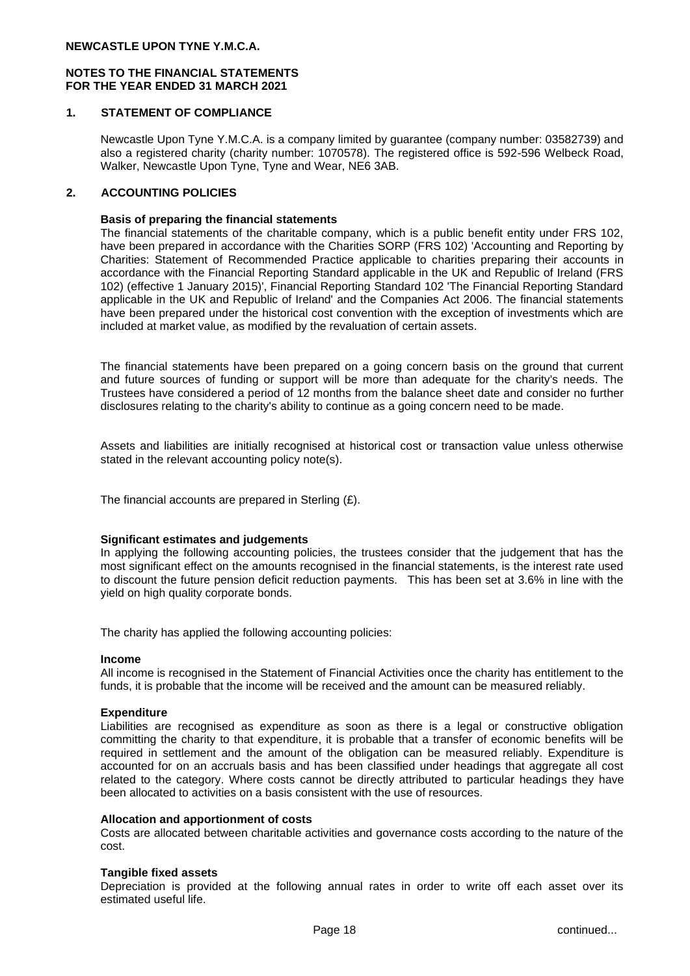## **1. STATEMENT OF COMPLIANCE**

Newcastle Upon Tyne Y.M.C.A. is a company limited by guarantee (company number: 03582739) and also a registered charity (charity number: 1070578). The registered office is 592-596 Welbeck Road, Walker, Newcastle Upon Tyne, Tyne and Wear, NE6 3AB.

## **2. ACCOUNTING POLICIES**

#### **Basis of preparing the financial statements**

The financial statements of the charitable company, which is a public benefit entity under FRS 102, have been prepared in accordance with the Charities SORP (FRS 102) 'Accounting and Reporting by Charities: Statement of Recommended Practice applicable to charities preparing their accounts in accordance with the Financial Reporting Standard applicable in the UK and Republic of Ireland (FRS 102) (effective 1 January 2015)', Financial Reporting Standard 102 'The Financial Reporting Standard applicable in the UK and Republic of Ireland' and the Companies Act 2006. The financial statements have been prepared under the historical cost convention with the exception of investments which are included at market value, as modified by the revaluation of certain assets.

The financial statements have been prepared on a going concern basis on the ground that current and future sources of funding or support will be more than adequate for the charity's needs. The Trustees have considered a period of 12 months from the balance sheet date and consider no further disclosures relating to the charity's ability to continue as a going concern need to be made.

Assets and liabilities are initially recognised at historical cost or transaction value unless otherwise stated in the relevant accounting policy note(s).

The financial accounts are prepared in Sterling (£).

#### **Significant estimates and judgements**

In applying the following accounting policies, the trustees consider that the judgement that has the most significant effect on the amounts recognised in the financial statements, is the interest rate used to discount the future pension deficit reduction payments. This has been set at 3.6% in line with the yield on high quality corporate bonds.

The charity has applied the following accounting policies:

#### **Income**

All income is recognised in the Statement of Financial Activities once the charity has entitlement to the funds, it is probable that the income will be received and the amount can be measured reliably.

#### **Expenditure**

Liabilities are recognised as expenditure as soon as there is a legal or constructive obligation committing the charity to that expenditure, it is probable that a transfer of economic benefits will be required in settlement and the amount of the obligation can be measured reliably. Expenditure is accounted for on an accruals basis and has been classified under headings that aggregate all cost related to the category. Where costs cannot be directly attributed to particular headings they have been allocated to activities on a basis consistent with the use of resources.

#### **Allocation and apportionment of costs**

Costs are allocated between charitable activities and governance costs according to the nature of the cost.

#### **Tangible fixed assets**

Depreciation is provided at the following annual rates in order to write off each asset over its estimated useful life.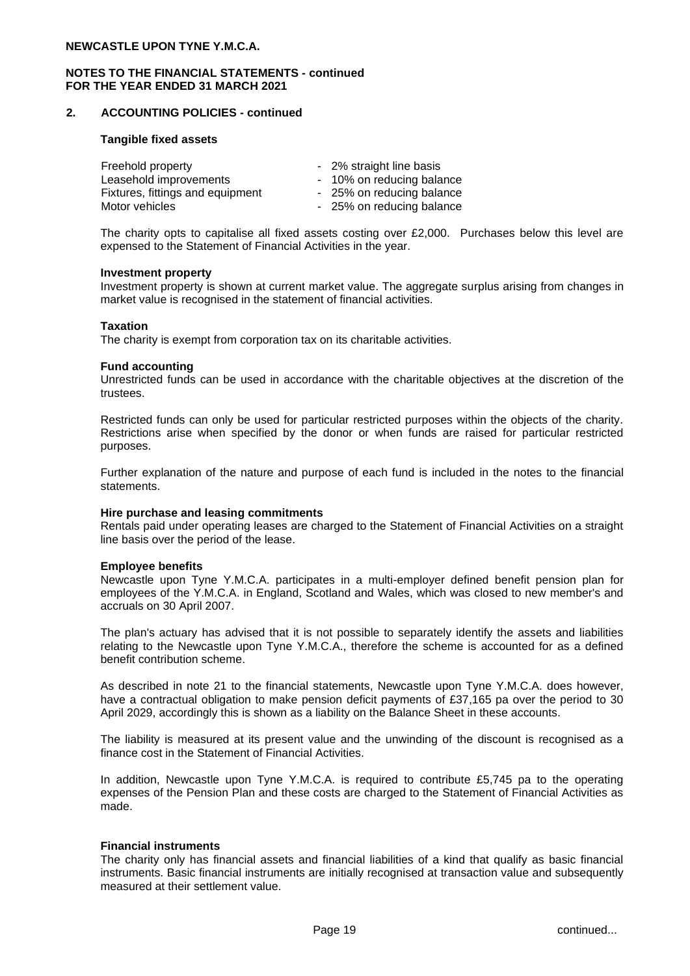## **2. ACCOUNTING POLICIES - continued**

#### **Tangible fixed assets**

| Freehold property                | - 2% straight line basis  |
|----------------------------------|---------------------------|
| Leasehold improvements           | - 10% on reducing balance |
| Fixtures, fittings and equipment | - 25% on reducing balance |
| Motor vehicles                   | - 25% on reducing balance |

The charity opts to capitalise all fixed assets costing over £2,000. Purchases below this level are expensed to the Statement of Financial Activities in the year.

#### **Investment property**

Investment property is shown at current market value. The aggregate surplus arising from changes in market value is recognised in the statement of financial activities.

#### **Taxation**

The charity is exempt from corporation tax on its charitable activities.

#### **Fund accounting**

Unrestricted funds can be used in accordance with the charitable objectives at the discretion of the trustees.

Restricted funds can only be used for particular restricted purposes within the objects of the charity. Restrictions arise when specified by the donor or when funds are raised for particular restricted purposes.

Further explanation of the nature and purpose of each fund is included in the notes to the financial statements.

#### **Hire purchase and leasing commitments**

Rentals paid under operating leases are charged to the Statement of Financial Activities on a straight line basis over the period of the lease.

#### **Employee benefits**

Newcastle upon Tyne Y.M.C.A. participates in a multi-employer defined benefit pension plan for employees of the Y.M.C.A. in England, Scotland and Wales, which was closed to new member's and accruals on 30 April 2007.

The plan's actuary has advised that it is not possible to separately identify the assets and liabilities relating to the Newcastle upon Tyne Y.M.C.A., therefore the scheme is accounted for as a defined benefit contribution scheme.

As described in note 21 to the financial statements, Newcastle upon Tyne Y.M.C.A. does however, have a contractual obligation to make pension deficit payments of £37,165 pa over the period to 30 April 2029, accordingly this is shown as a liability on the Balance Sheet in these accounts.

The liability is measured at its present value and the unwinding of the discount is recognised as a finance cost in the Statement of Financial Activities.

In addition, Newcastle upon Tyne Y.M.C.A. is required to contribute £5,745 pa to the operating expenses of the Pension Plan and these costs are charged to the Statement of Financial Activities as made.

#### **Financial instruments**

The charity only has financial assets and financial liabilities of a kind that qualify as basic financial instruments. Basic financial instruments are initially recognised at transaction value and subsequently measured at their settlement value.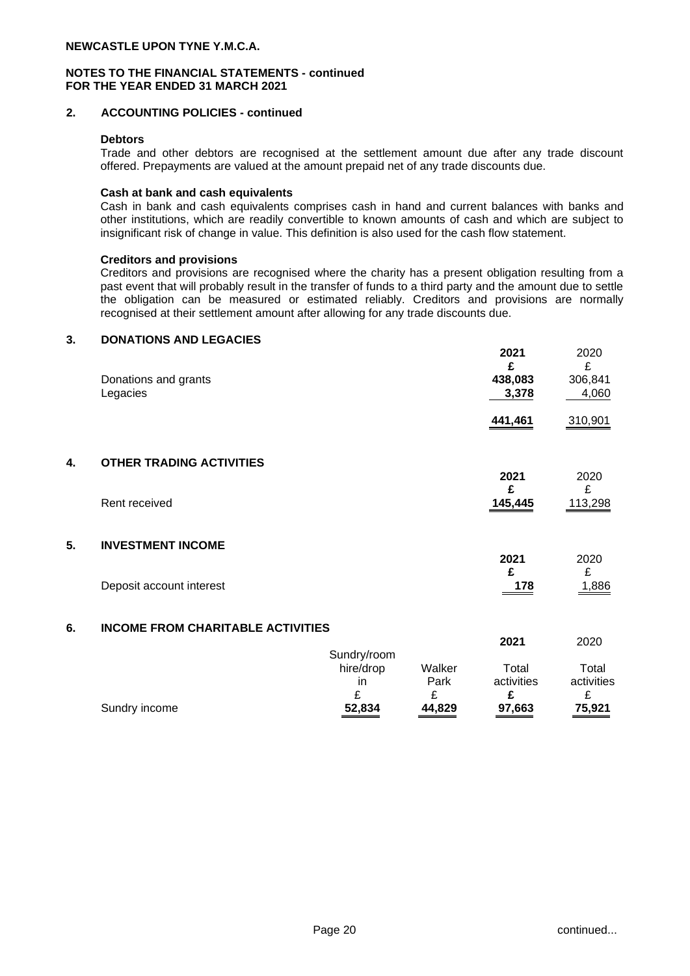## **2. ACCOUNTING POLICIES - continued**

#### **Debtors**

Trade and other debtors are recognised at the settlement amount due after any trade discount offered. Prepayments are valued at the amount prepaid net of any trade discounts due.

#### **Cash at bank and cash equivalents**

Cash in bank and cash equivalents comprises cash in hand and current balances with banks and other institutions, which are readily convertible to known amounts of cash and which are subject to insignificant risk of change in value. This definition is also used for the cash flow statement.

## **Creditors and provisions**

Creditors and provisions are recognised where the charity has a present obligation resulting from a past event that will probably result in the transfer of funds to a third party and the amount due to settle the obligation can be measured or estimated reliably. Creditors and provisions are normally recognised at their settlement amount after allowing for any trade discounts due.

#### **3. DONATIONS AND LEGACIES**

|    | Donations and grants<br>Legacies         |                                     |                     | ZUZ I<br>£<br>438,083<br>3,378 | ZUZU<br>£<br>306,841<br>4,060 |
|----|------------------------------------------|-------------------------------------|---------------------|--------------------------------|-------------------------------|
|    |                                          |                                     |                     | 441,461                        | 310,901                       |
| 4. | <b>OTHER TRADING ACTIVITIES</b>          |                                     |                     | 2021<br>£                      | 2020<br>£                     |
|    | Rent received                            |                                     |                     | 145,445                        | 113,298                       |
| 5. | <b>INVESTMENT INCOME</b>                 |                                     |                     | 2021                           | 2020                          |
|    | Deposit account interest                 |                                     |                     | £<br>178                       | £<br>1,886                    |
| 6. | <b>INCOME FROM CHARITABLE ACTIVITIES</b> |                                     |                     |                                |                               |
|    |                                          |                                     |                     | 2021                           | 2020                          |
|    |                                          | Sundry/room<br>hire/drop<br>in<br>£ | Walker<br>Park<br>£ | Total<br>activities<br>£       | Total<br>activities<br>£      |
|    |                                          |                                     |                     |                                |                               |

Sundry income **52,834 44,829 97,663 75,921**

**2021** 2020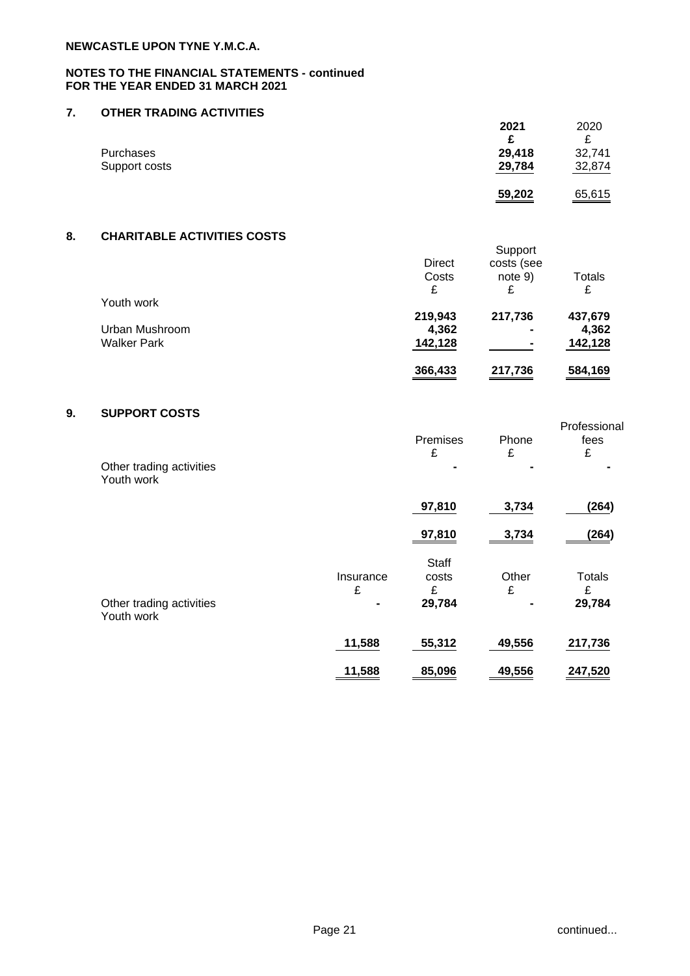## **7. OTHER TRADING ACTIVITIES**

|               | 2021   | 2020   |
|---------------|--------|--------|
|               | c      | c      |
| Purchases     | 29,418 | 32,741 |
| Support costs | 29,784 | 32,874 |
|               | 59,202 | 65,615 |

# **8. CHARITABLE ACTIVITIES COSTS**

|                    | <b>Direct</b><br>Costs<br>£ | Support<br>costs (see<br>note 9)<br>£ | <b>Totals</b><br>£ |
|--------------------|-----------------------------|---------------------------------------|--------------------|
| Youth work         |                             |                                       |                    |
|                    | 219,943                     | 217,736                               | 437,679            |
| Urban Mushroom     | 4,362                       | $\blacksquare$                        | 4,362              |
| <b>Walker Park</b> | 142,128                     | $\blacksquare$                        | 142,128            |
|                    | 366,433                     | 217,736                               | 584,169            |

# **9. SUPPORT COSTS**

| Other trading activities<br>Youth work |                     | Premises<br>£                        | Phone<br>£ | Professional<br>fees<br>£ |
|----------------------------------------|---------------------|--------------------------------------|------------|---------------------------|
|                                        |                     | 97,810                               | 3,734      | (264)                     |
|                                        |                     | 97,810                               | 3,734      | (264)                     |
| Other trading activities<br>Youth work | Insurance<br>£<br>- | <b>Staff</b><br>costs<br>£<br>29,784 | Other<br>£ | Totals<br>£<br>29,784     |
|                                        | 11,588              | 55,312                               | 49,556     | 217,736                   |
|                                        | 11,588              | 85,096                               | 49,556     | 247,520                   |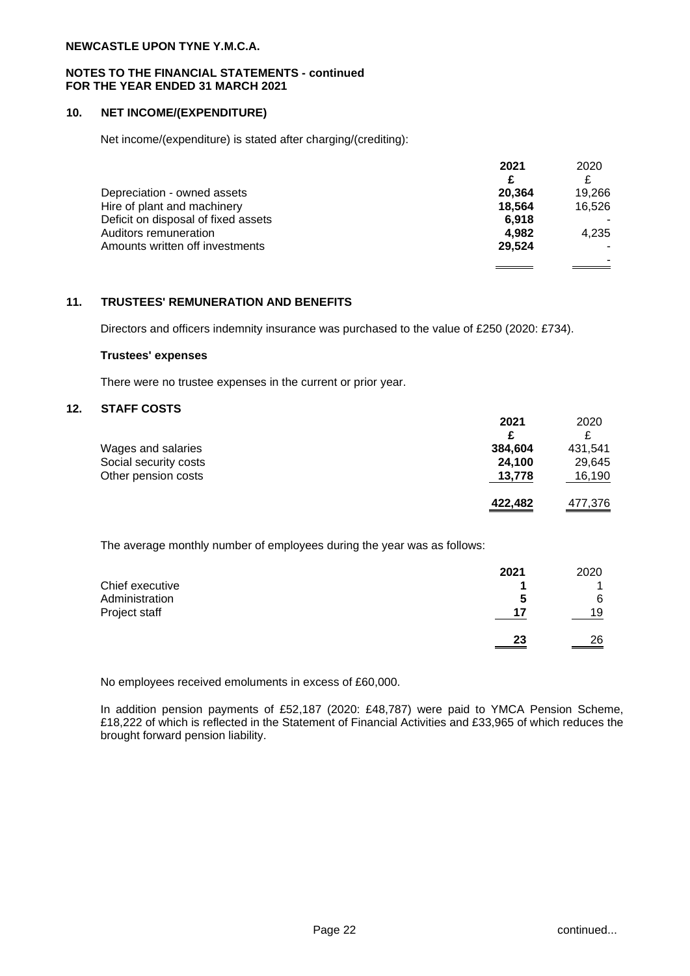#### **NOTES TO THE FINANCIAL STATEMENTS - continued FOR THE YEAR ENDED 31 MARCH 2021**

## **10. NET INCOME/(EXPENDITURE)**

Net income/(expenditure) is stated after charging/(crediting):

|                                     | 2021   | 2020   |
|-------------------------------------|--------|--------|
|                                     | £      |        |
| Depreciation - owned assets         | 20.364 | 19.266 |
| Hire of plant and machinery         | 18.564 | 16,526 |
| Deficit on disposal of fixed assets | 6.918  |        |
| Auditors remuneration               | 4.982  | 4.235  |
| Amounts written off investments     | 29.524 |        |
|                                     |        |        |

# **11. TRUSTEES' REMUNERATION AND BENEFITS**

Directors and officers indemnity insurance was purchased to the value of £250 (2020: £734).

#### **Trustees' expenses**

There were no trustee expenses in the current or prior year.

## **12. STAFF COSTS**

|                       | 2021    | 2020    |
|-----------------------|---------|---------|
|                       | £       |         |
| Wages and salaries    | 384.604 | 431.541 |
| Social security costs | 24,100  | 29,645  |
| Other pension costs   | 13,778  | 16,190  |
|                       | 422,482 | 477,376 |

The average monthly number of employees during the year was as follows:

|                 | 2021 | 2020 |
|-----------------|------|------|
| Chief executive |      |      |
| Administration  | C    | 6    |
| Project staff   | 17   | 19   |
|                 |      |      |
|                 | 23   | 26   |

No employees received emoluments in excess of £60,000.

In addition pension payments of £52,187 (2020: £48,787) were paid to YMCA Pension Scheme, £18,222 of which is reflected in the Statement of Financial Activities and £33,965 of which reduces the brought forward pension liability.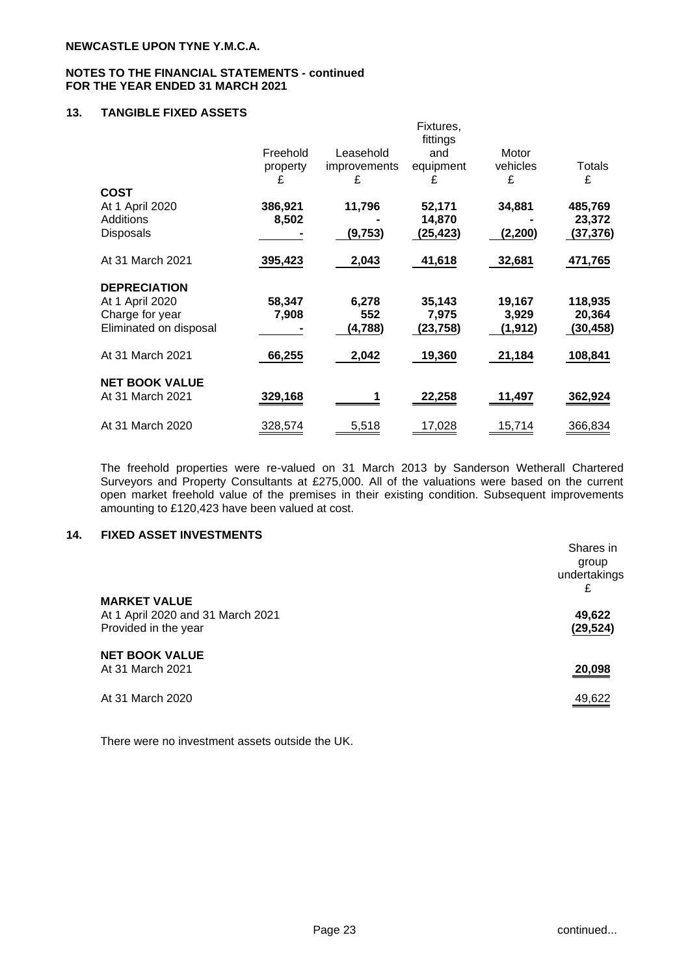# **13. TANGIBLE FIXED ASSETS**

|                        |          |                     | Fixtures,<br>fittings |          |          |
|------------------------|----------|---------------------|-----------------------|----------|----------|
|                        | Freehold | Leasehold           | and                   | Motor    |          |
|                        | property | <i>improvements</i> | equipment             | vehicles | Totals   |
|                        | £        | £                   | £                     | £        | £        |
| <b>COST</b>            |          |                     |                       |          |          |
| At 1 April 2020        | 386,921  | 11,796              | 52,171                | 34,881   | 485,769  |
| Additions              | 8,502    |                     | 14,870                |          | 23,372   |
| <b>Disposals</b>       |          | (9,753)             | (25,423)              | (2, 200) | (37,376) |
| At 31 March 2021       | 395,423  | 2,043               | 41,618                | 32,681   | 471,765  |
| <b>DEPRECIATION</b>    |          |                     |                       |          |          |
| At 1 April 2020        | 58,347   | 6,278               | 35,143                | 19,167   | 118,935  |
| Charge for year        | 7,908    | 552                 | 7,975                 | 3,929    | 20,364   |
| Eliminated on disposal |          | (4, 788)            | (23,758)              | (1, 912) | (30,458) |
| At 31 March 2021       | 66,255   | 2,042               | 19,360                | 21,184   | 108,841  |
| <b>NET BOOK VALUE</b>  |          |                     |                       |          |          |
| At 31 March 2021       | 329,168  |                     | 22,258                | 11,497   | 362,924  |
| At 31 March 2020       | 328,574  | 5,518               | 17,028                | 15,714   | 366,834  |

The freehold properties were re-valued on 31 March 2013 by Sanderson Wetherall Chartered Surveyors and Property Consultants at £275,000. All of the valuations were based on the current open market freehold value of the premises in their existing condition. Subsequent improvements amounting to £120,423 have been valued at cost.

## **14. FIXED ASSET INVESTMENTS**

|                                                                                  | Shares in<br>group<br>undertakings<br>£ |
|----------------------------------------------------------------------------------|-----------------------------------------|
| <b>MARKET VALUE</b><br>At 1 April 2020 and 31 March 2021<br>Provided in the year | 49,622<br>(29, 524)                     |
| <b>NET BOOK VALUE</b><br>At 31 March 2021                                        | 20,098                                  |
| At 31 March 2020                                                                 | 49,622                                  |

There were no investment assets outside the UK.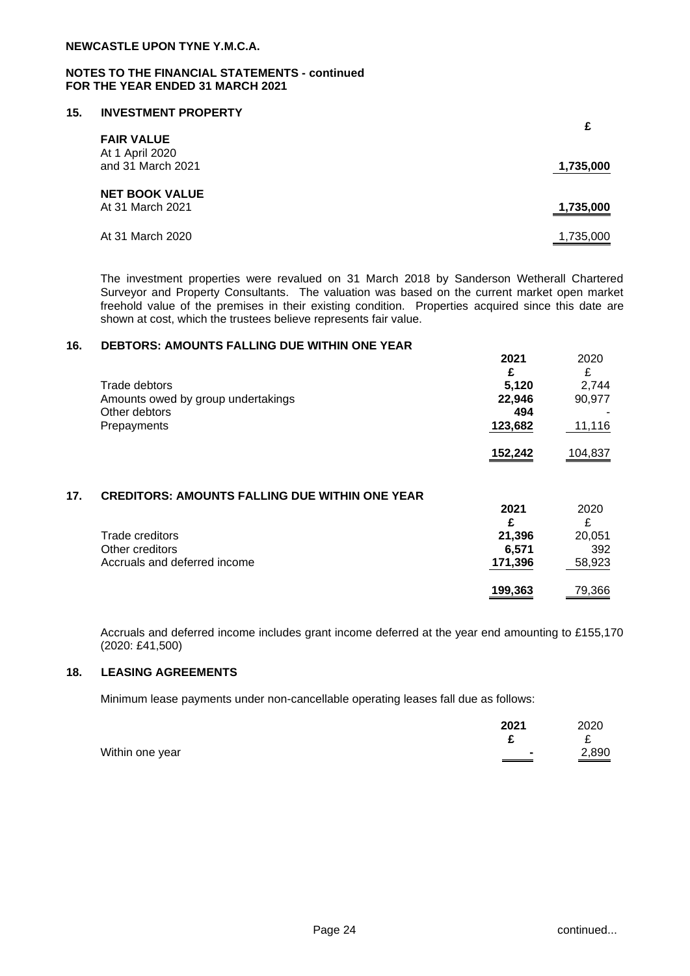## **15. INVESTMENT PROPERTY**

| <b>FAIR VALUE</b>                         | £         |
|-------------------------------------------|-----------|
| At 1 April 2020<br>and 31 March 2021      | 1,735,000 |
| <b>NET BOOK VALUE</b><br>At 31 March 2021 | 1,735,000 |
| At 31 March 2020                          | 1,735,000 |

The investment properties were revalued on 31 March 2018 by Sanderson Wetherall Chartered Surveyor and Property Consultants. The valuation was based on the current market open market freehold value of the premises in their existing condition. Properties acquired since this date are shown at cost, which the trustees believe represents fair value.

#### **16. DEBTORS: AMOUNTS FALLING DUE WITHIN ONE YEAR**

|                                    | ZUZ I   | ZUZU    |
|------------------------------------|---------|---------|
|                                    | £       | ₽       |
| Trade debtors                      | 5,120   | 2.744   |
| Amounts owed by group undertakings | 22,946  | 90,977  |
| Other debtors                      | 494     |         |
| Prepayments                        | 123,682 | 11,116  |
|                                    | 152.242 | 104.837 |

## **17. CREDITORS: AMOUNTS FALLING DUE WITHIN ONE YEAR**

|                              | 2021    | 2020   |
|------------------------------|---------|--------|
|                              | £       |        |
| Trade creditors              | 21.396  | 20,051 |
| Other creditors              | 6.571   | 392    |
| Accruals and deferred income | 171,396 | 58,923 |
|                              | 199,363 | 79,366 |

Accruals and deferred income includes grant income deferred at the year end amounting to £155,170 (2020: £41,500)

#### **18. LEASING AGREEMENTS**

Minimum lease payments under non-cancellable operating leases fall due as follows:

|                 | 2021 | 2020  |
|-----------------|------|-------|
|                 |      |       |
| Within one year |      | 2,890 |

**2021** 2020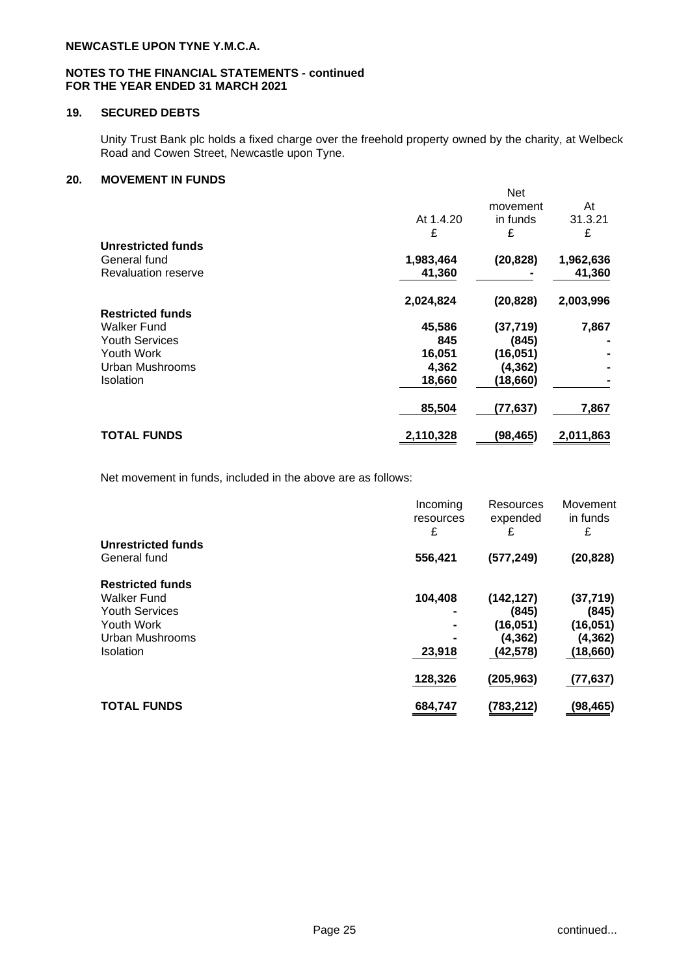## **NOTES TO THE FINANCIAL STATEMENTS - continued FOR THE YEAR ENDED 31 MARCH 2021**

# **19. SECURED DEBTS**

Unity Trust Bank plc holds a fixed charge over the freehold property owned by the charity, at Welbeck Road and Cowen Street, Newcastle upon Tyne.

## **20. MOVEMENT IN FUNDS**

|                            | At 1.4.20 | <b>Net</b><br>movement<br>in funds | At<br>31.3.21 |
|----------------------------|-----------|------------------------------------|---------------|
| Unrestricted funds         | £         | £                                  | £             |
| General fund               | 1,983,464 | (20, 828)                          | 1,962,636     |
| <b>Revaluation reserve</b> | 41,360    |                                    | 41,360        |
|                            | 2,024,824 | (20, 828)                          | 2,003,996     |
| <b>Restricted funds</b>    |           |                                    |               |
| <b>Walker Fund</b>         | 45,586    | (37, 719)                          | 7,867         |
| <b>Youth Services</b>      | 845       | (845)                              |               |
| Youth Work                 | 16,051    | (16, 051)                          |               |
| Urban Mushrooms            | 4,362     | (4, 362)                           |               |
| <b>Isolation</b>           | 18,660    | (18,660)                           |               |
|                            | 85,504    | (77,637)                           | 7,867         |
| <b>TOTAL FUNDS</b>         | 2,110,328 | (98,465)                           | 2,011,863     |

Net movement in funds, included in the above are as follows:

|                                    | Incoming<br>resources<br>£ | Resources<br>expended<br>£ | Movement<br>in funds<br>£ |
|------------------------------------|----------------------------|----------------------------|---------------------------|
| Unrestricted funds<br>General fund | 556,421                    | (577, 249)                 | (20, 828)                 |
| <b>Restricted funds</b>            |                            |                            |                           |
| Walker Fund                        | 104,408                    | (142, 127)                 | (37, 719)                 |
| <b>Youth Services</b>              |                            | (845)                      | (845)                     |
| Youth Work                         |                            | (16, 051)                  | (16, 051)                 |
| Urban Mushrooms                    |                            | (4, 362)                   | (4,362)                   |
| <b>Isolation</b>                   | 23,918                     | (42, 578)                  | (18,660)                  |
|                                    | 128,326                    | (205, 963)                 | (77, 637)                 |
| <b>TOTAL FUNDS</b>                 | 684,747                    | (783, 212)                 | (98,465)                  |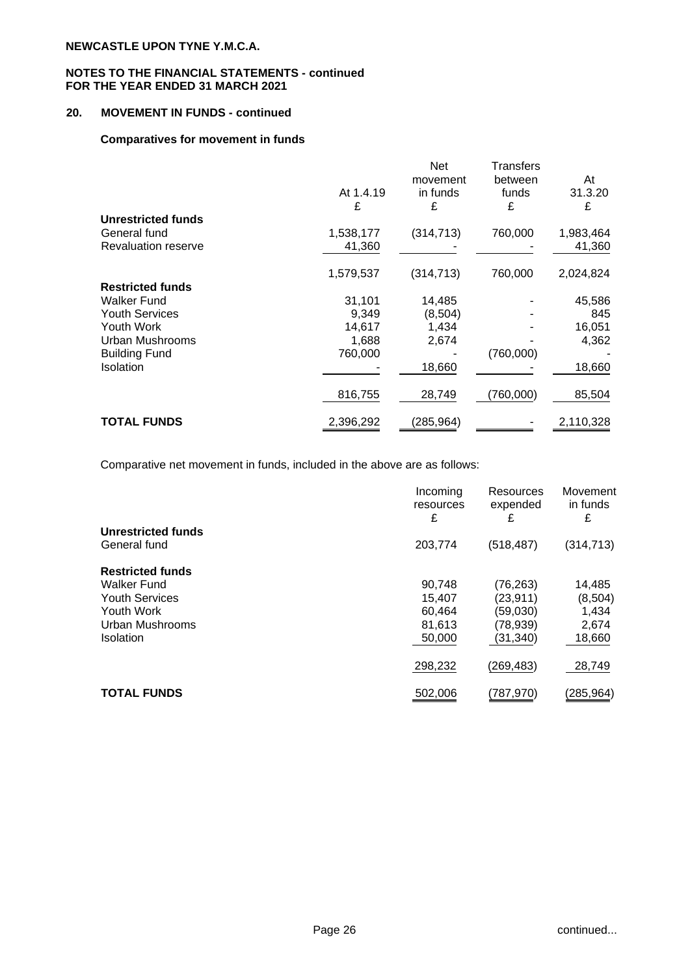# **20. MOVEMENT IN FUNDS - continued**

## **Comparatives for movement in funds**

|                            |           | Net        | Transfers |           |
|----------------------------|-----------|------------|-----------|-----------|
|                            |           | movement   | between   | At        |
|                            | At 1.4.19 | in funds   | funds     | 31.3.20   |
|                            | £         | £          | £         | £         |
| Unrestricted funds         |           |            |           |           |
| General fund               | 1,538,177 | (314, 713) | 760,000   | 1,983,464 |
| <b>Revaluation reserve</b> | 41,360    |            |           | 41,360    |
|                            | 1,579,537 | (314, 713) | 760,000   | 2,024,824 |
| <b>Restricted funds</b>    |           |            |           |           |
| <b>Walker Fund</b>         | 31.101    | 14,485     |           | 45,586    |
| <b>Youth Services</b>      | 9,349     | (8,504)    |           | 845       |
| Youth Work                 | 14,617    | 1,434      |           | 16,051    |
| Urban Mushrooms            | 1,688     | 2,674      |           | 4,362     |
| <b>Building Fund</b>       | 760,000   |            | (760,000) |           |
| Isolation                  |           | 18,660     |           | 18,660    |
|                            | 816,755   | 28,749     | (760,000) | 85,504    |
| <b>TOTAL FUNDS</b>         | 2,396,292 | (285,964)  |           | 2,110,328 |

Comparative net movement in funds, included in the above are as follows:

|                                    | Incoming<br>resources<br>£ | Resources<br>expended<br>£ | Movement<br>in funds<br>£ |
|------------------------------------|----------------------------|----------------------------|---------------------------|
| Unrestricted funds<br>General fund | 203,774                    | (518, 487)                 | (314, 713)                |
| <b>Restricted funds</b>            |                            |                            |                           |
| Walker Fund                        | 90,748                     | (76, 263)                  | 14,485                    |
| <b>Youth Services</b>              | 15.407                     | (23, 911)                  | (8,504)                   |
| Youth Work                         | 60,464                     | (59,030)                   | 1,434                     |
| Urban Mushrooms                    | 81,613                     | (78, 939)                  | 2,674                     |
| <b>Isolation</b>                   | 50,000                     | (31, 340)                  | 18,660                    |
|                                    | 298,232                    | (269, 483)                 | 28,749                    |
| <b>TOTAL FUNDS</b>                 | 502,006                    | (787,970)                  | (285, 964)                |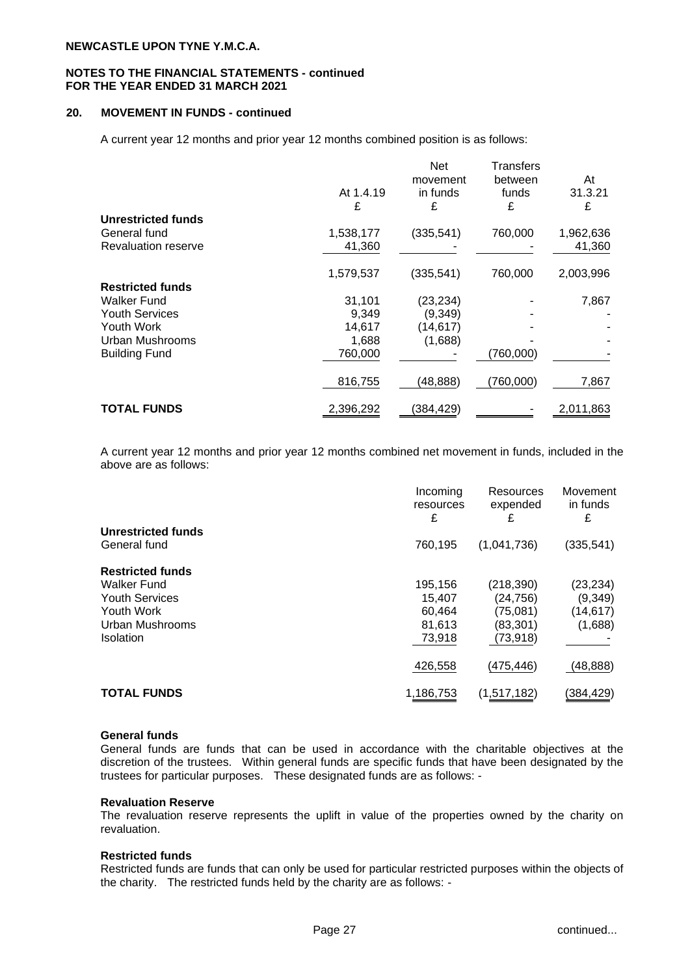#### **NOTES TO THE FINANCIAL STATEMENTS - continued FOR THE YEAR ENDED 31 MARCH 2021**

## **20. MOVEMENT IN FUNDS - continued**

A current year 12 months and prior year 12 months combined position is as follows:

|                         |           | <b>Net</b> | Transfers |           |
|-------------------------|-----------|------------|-----------|-----------|
|                         |           | movement   | between   | At        |
|                         | At 1.4.19 | in funds   | funds     | 31.3.21   |
|                         | £         | £          | £         | £         |
| Unrestricted funds      |           |            |           |           |
| General fund            | 1,538,177 | (335, 541) | 760,000   | 1,962,636 |
| Revaluation reserve     | 41,360    |            |           | 41,360    |
|                         | 1,579,537 | (335, 541) | 760,000   | 2,003,996 |
| <b>Restricted funds</b> |           |            |           |           |
| Walker Fund             | 31,101    | (23, 234)  |           | 7,867     |
| <b>Youth Services</b>   | 9,349     | (9,349)    |           |           |
| Youth Work              | 14,617    | (14, 617)  |           |           |
| Urban Mushrooms         | 1,688     | (1,688)    |           |           |
| <b>Building Fund</b>    | 760,000   |            | (760,000) |           |
|                         | 816,755   | (48, 888)  | (760,000) | 7,867     |
| <b>TOTAL FUNDS</b>      | 2,396,292 | (384, 429) |           | 2,011,863 |

A current year 12 months and prior year 12 months combined net movement in funds, included in the above are as follows:

|                         | Incoming<br>resources<br>£ | Resources<br>expended<br>£ | Movement<br>in funds<br>£ |
|-------------------------|----------------------------|----------------------------|---------------------------|
| Unrestricted funds      |                            |                            |                           |
| General fund            | 760,195                    | (1,041,736)                | (335, 541)                |
| <b>Restricted funds</b> |                            |                            |                           |
| <b>Walker Fund</b>      | 195,156                    | (218, 390)                 | (23, 234)                 |
| <b>Youth Services</b>   | 15,407                     | (24, 756)                  | (9, 349)                  |
| Youth Work              | 60,464                     | (75,081)                   | (14, 617)                 |
| Urban Mushrooms         | 81,613                     | (83,301)                   | (1,688)                   |
| <b>Isolation</b>        | 73,918                     | (73, 918)                  |                           |
|                         | 426,558                    | (475,446)                  | (48,888)                  |
| <b>TOTAL FUNDS</b>      | 1,186,753                  | (1,517,182)                | (384, 429)                |

#### **General funds**

General funds are funds that can be used in accordance with the charitable objectives at the discretion of the trustees. Within general funds are specific funds that have been designated by the trustees for particular purposes. These designated funds are as follows: -

#### **Revaluation Reserve**

The revaluation reserve represents the uplift in value of the properties owned by the charity on revaluation.

#### **Restricted funds**

Restricted funds are funds that can only be used for particular restricted purposes within the objects of the charity. The restricted funds held by the charity are as follows: -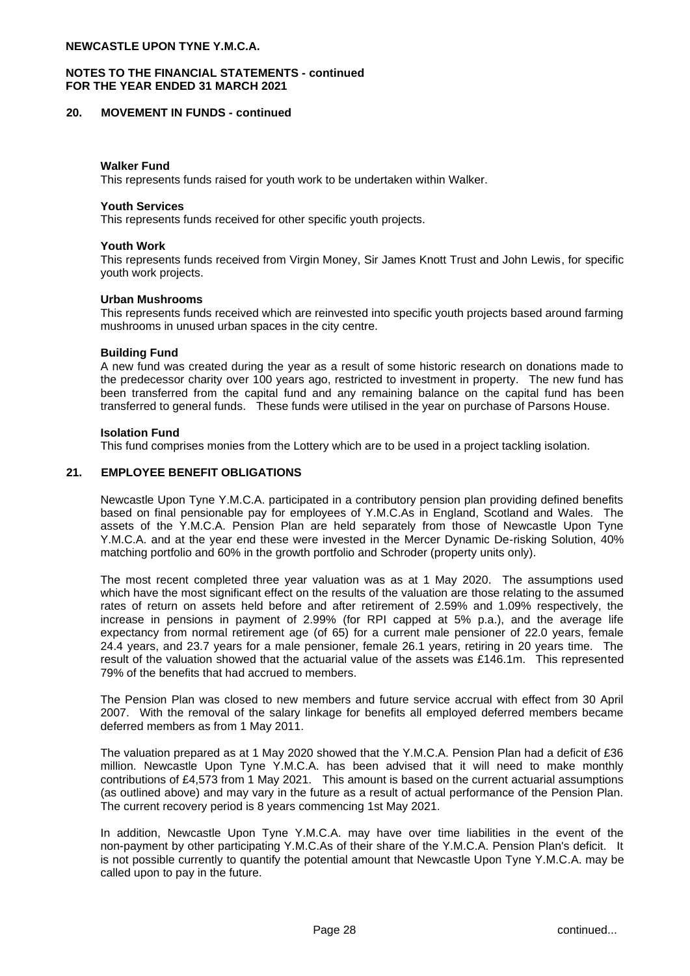## **NOTES TO THE FINANCIAL STATEMENTS - continued FOR THE YEAR ENDED 31 MARCH 2021**

#### **20. MOVEMENT IN FUNDS - continued**

#### **Walker Fund**

This represents funds raised for youth work to be undertaken within Walker.

#### **Youth Services**

This represents funds received for other specific youth projects.

#### **Youth Work**

This represents funds received from Virgin Money, Sir James Knott Trust and John Lewis, for specific youth work projects.

#### **Urban Mushrooms**

This represents funds received which are reinvested into specific youth projects based around farming mushrooms in unused urban spaces in the city centre.

#### **Building Fund**

A new fund was created during the year as a result of some historic research on donations made to the predecessor charity over 100 years ago, restricted to investment in property. The new fund has been transferred from the capital fund and any remaining balance on the capital fund has been transferred to general funds. These funds were utilised in the year on purchase of Parsons House.

#### **Isolation Fund**

This fund comprises monies from the Lottery which are to be used in a project tackling isolation.

#### **21. EMPLOYEE BENEFIT OBLIGATIONS**

Newcastle Upon Tyne Y.M.C.A. participated in a contributory pension plan providing defined benefits based on final pensionable pay for employees of Y.M.C.As in England, Scotland and Wales. The assets of the Y.M.C.A. Pension Plan are held separately from those of Newcastle Upon Tyne Y.M.C.A. and at the year end these were invested in the Mercer Dynamic De-risking Solution, 40% matching portfolio and 60% in the growth portfolio and Schroder (property units only).

The most recent completed three year valuation was as at 1 May 2020. The assumptions used which have the most significant effect on the results of the valuation are those relating to the assumed rates of return on assets held before and after retirement of 2.59% and 1.09% respectively, the increase in pensions in payment of 2.99% (for RPI capped at 5% p.a.), and the average life expectancy from normal retirement age (of 65) for a current male pensioner of 22.0 years, female 24.4 years, and 23.7 years for a male pensioner, female 26.1 years, retiring in 20 years time. The result of the valuation showed that the actuarial value of the assets was £146.1m. This represented 79% of the benefits that had accrued to members.

The Pension Plan was closed to new members and future service accrual with effect from 30 April 2007. With the removal of the salary linkage for benefits all employed deferred members became deferred members as from 1 May 2011.

The valuation prepared as at 1 May 2020 showed that the Y.M.C.A. Pension Plan had a deficit of £36 million. Newcastle Upon Tyne Y.M.C.A. has been advised that it will need to make monthly contributions of £4,573 from 1 May 2021. This amount is based on the current actuarial assumptions (as outlined above) and may vary in the future as a result of actual performance of the Pension Plan. The current recovery period is 8 years commencing 1st May 2021.

In addition, Newcastle Upon Tyne Y.M.C.A. may have over time liabilities in the event of the non-payment by other participating Y.M.C.As of their share of the Y.M.C.A. Pension Plan's deficit. It is not possible currently to quantify the potential amount that Newcastle Upon Tyne Y.M.C.A. may be called upon to pay in the future.